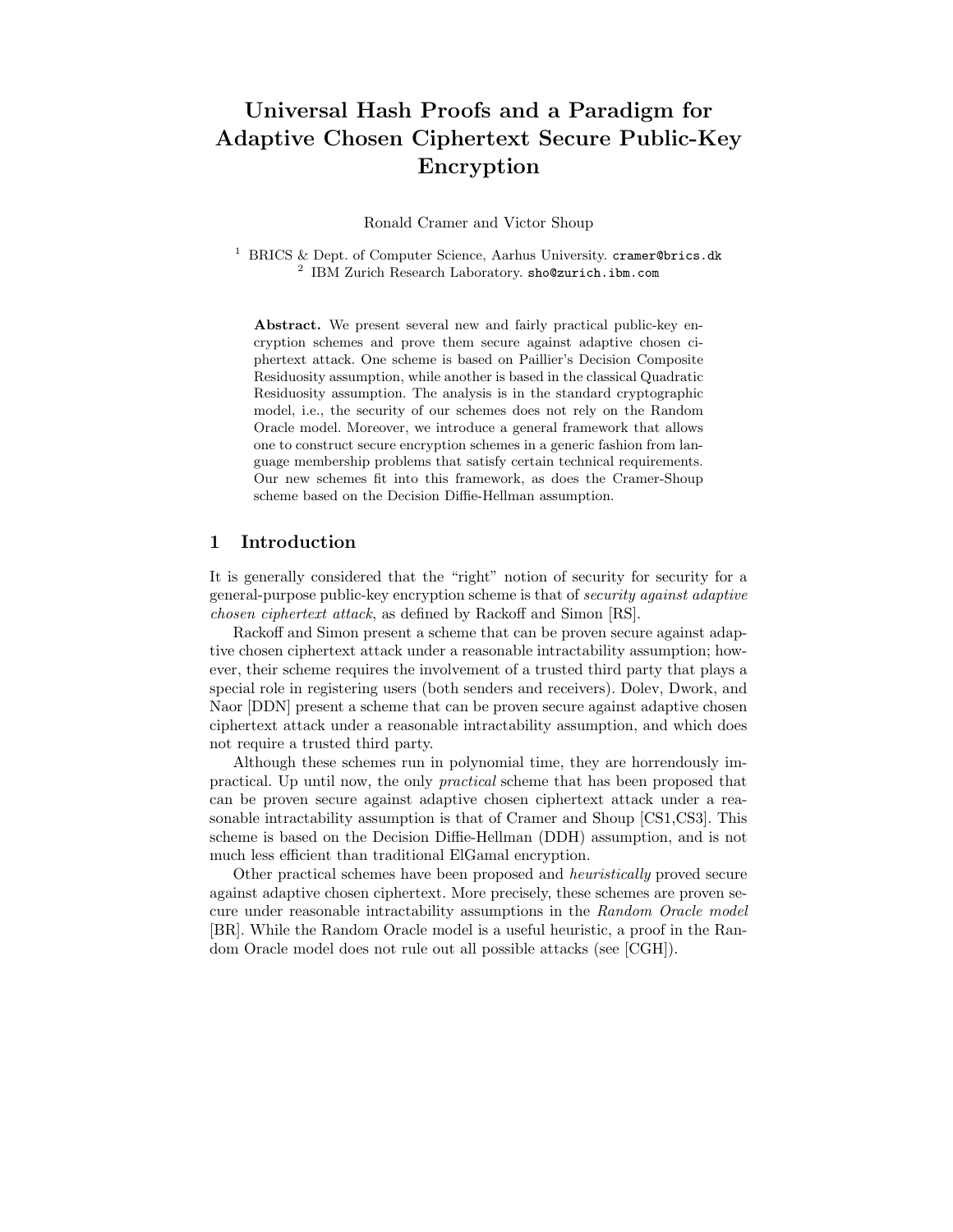# Universal Hash Proofs and a Paradigm for Adaptive Chosen Ciphertext Secure Public-Key Encryption

Ronald Cramer and Victor Shoup

<sup>1</sup> BRICS & Dept. of Computer Science, Aarhus University. cramer@brics.dk 2 IBM Zurich Research Laboratory. sho@zurich.ibm.com

Abstract. We present several new and fairly practical public-key encryption schemes and prove them secure against adaptive chosen ciphertext attack. One scheme is based on Paillier's Decision Composite Residuosity assumption, while another is based in the classical Quadratic Residuosity assumption. The analysis is in the standard cryptographic model, i.e., the security of our schemes does not rely on the Random Oracle model. Moreover, we introduce a general framework that allows one to construct secure encryption schemes in a generic fashion from language membership problems that satisfy certain technical requirements. Our new schemes fit into this framework, as does the Cramer-Shoup scheme based on the Decision Diffie-Hellman assumption.

# 1 Introduction

It is generally considered that the "right" notion of security for security for a general-purpose public-key encryption scheme is that of security against adaptive chosen ciphertext attack, as defined by Rackoff and Simon [RS].

Rackoff and Simon present a scheme that can be proven secure against adaptive chosen ciphertext attack under a reasonable intractability assumption; however, their scheme requires the involvement of a trusted third party that plays a special role in registering users (both senders and receivers). Dolev, Dwork, and Naor [DDN] present a scheme that can be proven secure against adaptive chosen ciphertext attack under a reasonable intractability assumption, and which does not require a trusted third party.

Although these schemes run in polynomial time, they are horrendously impractical. Up until now, the only practical scheme that has been proposed that can be proven secure against adaptive chosen ciphertext attack under a reasonable intractability assumption is that of Cramer and Shoup [CS1,CS3]. This scheme is based on the Decision Diffie-Hellman (DDH) assumption, and is not much less efficient than traditional ElGamal encryption.

Other practical schemes have been proposed and heuristically proved secure against adaptive chosen ciphertext. More precisely, these schemes are proven secure under reasonable intractability assumptions in the Random Oracle model [BR]. While the Random Oracle model is a useful heuristic, a proof in the Random Oracle model does not rule out all possible attacks (see [CGH]).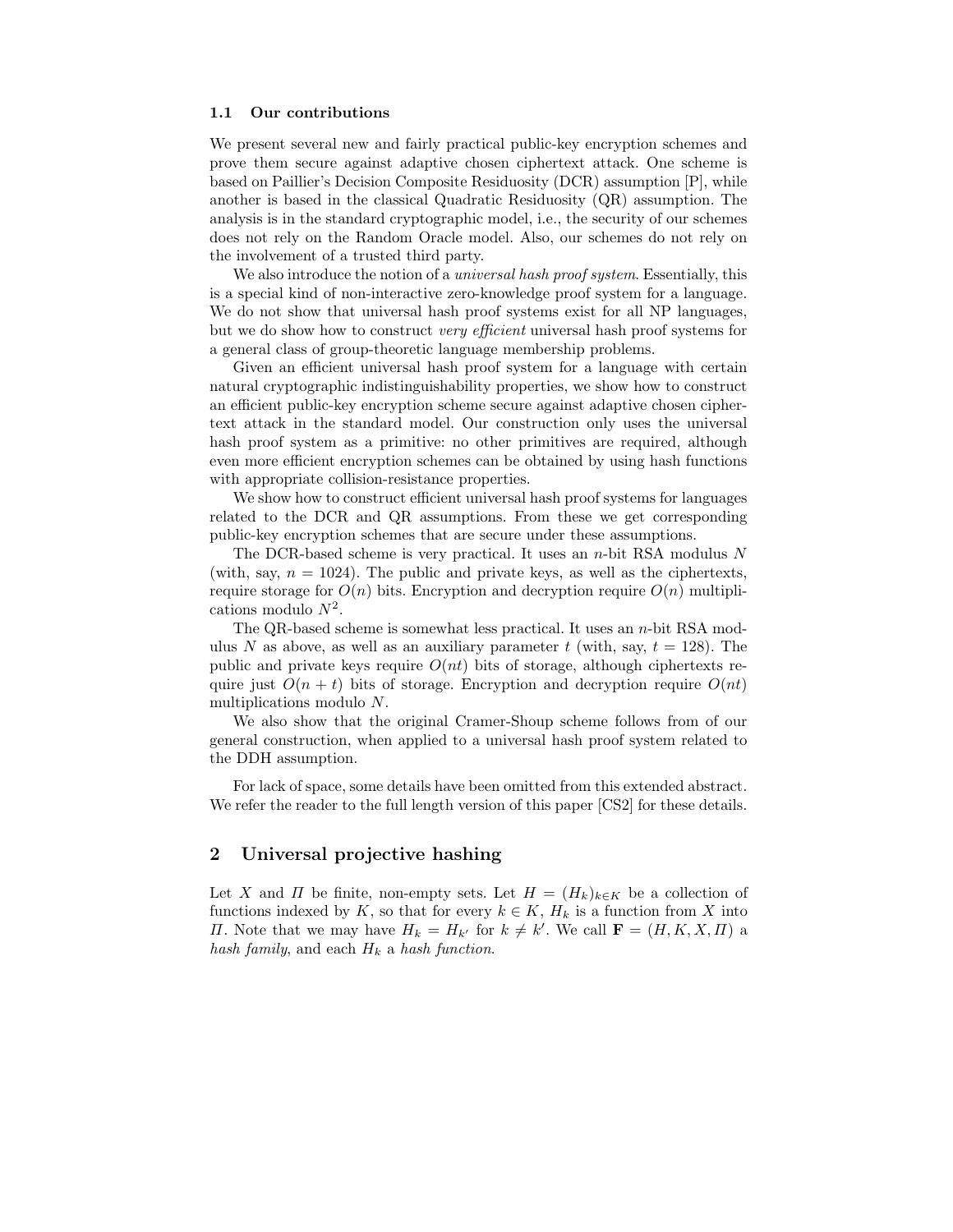#### 1.1 Our contributions

We present several new and fairly practical public-key encryption schemes and prove them secure against adaptive chosen ciphertext attack. One scheme is based on Paillier's Decision Composite Residuosity (DCR) assumption [P], while another is based in the classical Quadratic Residuosity (QR) assumption. The analysis is in the standard cryptographic model, i.e., the security of our schemes does not rely on the Random Oracle model. Also, our schemes do not rely on the involvement of a trusted third party.

We also introduce the notion of a *universal hash proof system*. Essentially, this is a special kind of non-interactive zero-knowledge proof system for a language. We do not show that universal hash proof systems exist for all NP languages, but we do show how to construct very efficient universal hash proof systems for a general class of group-theoretic language membership problems.

Given an efficient universal hash proof system for a language with certain natural cryptographic indistinguishability properties, we show how to construct an efficient public-key encryption scheme secure against adaptive chosen ciphertext attack in the standard model. Our construction only uses the universal hash proof system as a primitive: no other primitives are required, although even more efficient encryption schemes can be obtained by using hash functions with appropriate collision-resistance properties.

We show how to construct efficient universal hash proof systems for languages related to the DCR and QR assumptions. From these we get corresponding public-key encryption schemes that are secure under these assumptions.

The DCR-based scheme is very practical. It uses an  $n$ -bit RSA modulus N (with, say,  $n = 1024$ ). The public and private keys, as well as the ciphertexts, require storage for  $O(n)$  bits. Encryption and decryption require  $O(n)$  multiplications modulo  $N^2$ .

The QR-based scheme is somewhat less practical. It uses an n-bit RSA modulus N as above, as well as an auxiliary parameter t (with, say,  $t = 128$ ). The public and private keys require  $O(nt)$  bits of storage, although ciphertexts require just  $O(n + t)$  bits of storage. Encryption and decryption require  $O(nt)$ multiplications modulo N.

We also show that the original Cramer-Shoup scheme follows from of our general construction, when applied to a universal hash proof system related to the DDH assumption.

For lack of space, some details have been omitted from this extended abstract. We refer the reader to the full length version of this paper [CS2] for these details.

# 2 Universal projective hashing

Let X and  $\Pi$  be finite, non-empty sets. Let  $H = (H_k)_{k \in K}$  be a collection of functions indexed by K, so that for every  $k \in K$ ,  $H_k$  is a function from X into *Π*. Note that we may have  $H_k = H_{k'}$  for  $k \neq k'$ . We call  $\mathbf{F} = (H, K, X, \Pi)$  a hash family, and each  $H_k$  a hash function.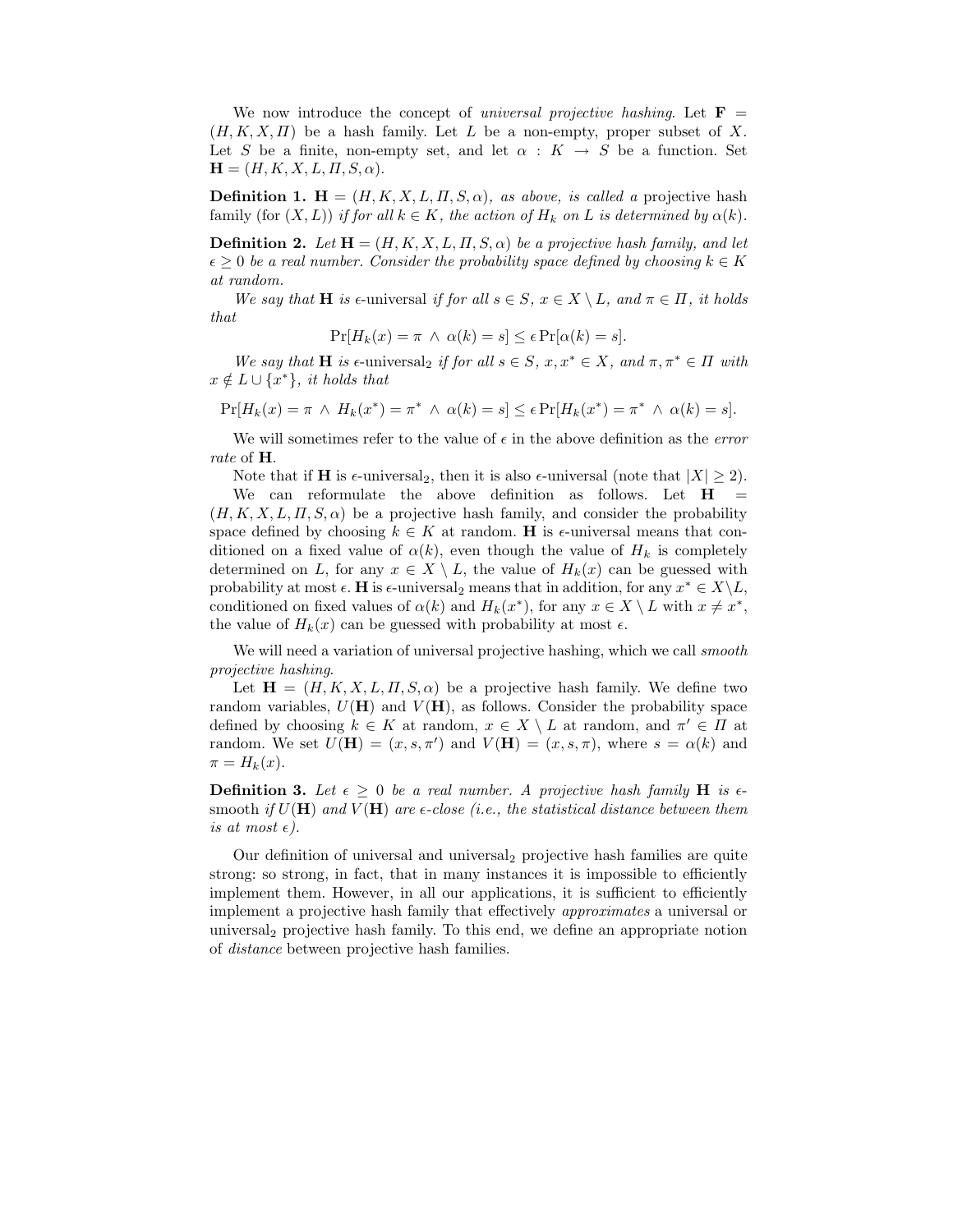We now introduce the concept of universal projective hashing. Let  $\mathbf{F} =$  $(H, K, X, \Pi)$  be a hash family. Let L be a non-empty, proper subset of X. Let S be a finite, non-empty set, and let  $\alpha : K \to S$  be a function. Set  $\mathbf{H} = (H, K, X, L, \Pi, S, \alpha).$ 

**Definition 1.** H =  $(H, K, X, L, \Pi, S, \alpha)$ , as above, is called a projective hash family (for  $(X, L)$ ) if for all  $k \in K$ , the action of  $H_k$  on L is determined by  $\alpha(k)$ .

**Definition 2.** Let  $H = (H, K, X, L, \Pi, S, \alpha)$  be a projective hash family, and let  $\epsilon > 0$  be a real number. Consider the probability space defined by choosing  $k \in K$ at random.

We say that **H** is  $\epsilon$ -universal if for all  $s \in S$ ,  $x \in X \setminus L$ , and  $\pi \in \Pi$ , it holds that

$$
\Pr[H_k(x) = \pi \land \alpha(k) = s] \le \epsilon \Pr[\alpha(k) = s].
$$

We say that H is  $\epsilon$ -universal<sub>2</sub> if for all  $s \in S$ ,  $x, x^* \in X$ , and  $\pi, \pi^* \in \Pi$  with  $x \notin L \cup \{x^*\},\$ it holds that

$$
\Pr[H_k(x) = \pi \land H_k(x^*) = \pi^* \land \alpha(k) = s] \le \epsilon \Pr[H_k(x^*) = \pi^* \land \alpha(k) = s].
$$

We will sometimes refer to the value of  $\epsilon$  in the above definition as the *error* rate of **H**.

Note that if **H** is  $\epsilon$ -universal<sub>2</sub>, then it is also  $\epsilon$ -universal (note that  $|X| \geq 2$ ).

We can reformulate the above definition as follows. Let  $H$  $(H, K, X, L, \Pi, S, \alpha)$  be a projective hash family, and consider the probability space defined by choosing  $k \in K$  at random. H is  $\epsilon$ -universal means that conditioned on a fixed value of  $\alpha(k)$ , even though the value of  $H_k$  is completely determined on L, for any  $x \in X \setminus L$ , the value of  $H_k(x)$  can be guessed with probability at most  $\epsilon$ . **H** is  $\epsilon$ -universal<sub>2</sub> means that in addition, for any  $x^* \in X \backslash L$ , conditioned on fixed values of  $\alpha(k)$  and  $H_k(x^*)$ , for any  $x \in X \setminus L$  with  $x \neq x^*$ , the value of  $H_k(x)$  can be guessed with probability at most  $\epsilon$ .

We will need a variation of universal projective hashing, which we call *smooth* projective hashing.

Let  $\mathbf{H} = (H, K, X, L, \Pi, S, \alpha)$  be a projective hash family. We define two random variables,  $U(H)$  and  $V(H)$ , as follows. Consider the probability space defined by choosing  $k \in K$  at random,  $x \in X \setminus L$  at random, and  $\pi' \in \Pi$  at random. We set  $U(\mathbf{H}) = (x, s, \pi')$  and  $V(\mathbf{H}) = (x, s, \pi)$ , where  $s = \alpha(k)$  and  $\pi = H_k(x)$ .

**Definition 3.** Let  $\epsilon \geq 0$  be a real number. A projective hash family **H** is  $\epsilon$ smooth if  $U(H)$  and  $V(H)$  are  $\epsilon$ -close (i.e., the statistical distance between them is at most  $\epsilon$ ).

Our definition of universal and universal<sub>2</sub> projective hash families are quite strong: so strong, in fact, that in many instances it is impossible to efficiently implement them. However, in all our applications, it is sufficient to efficiently implement a projective hash family that effectively approximates a universal or universal<sup>2</sup> projective hash family. To this end, we define an appropriate notion of distance between projective hash families.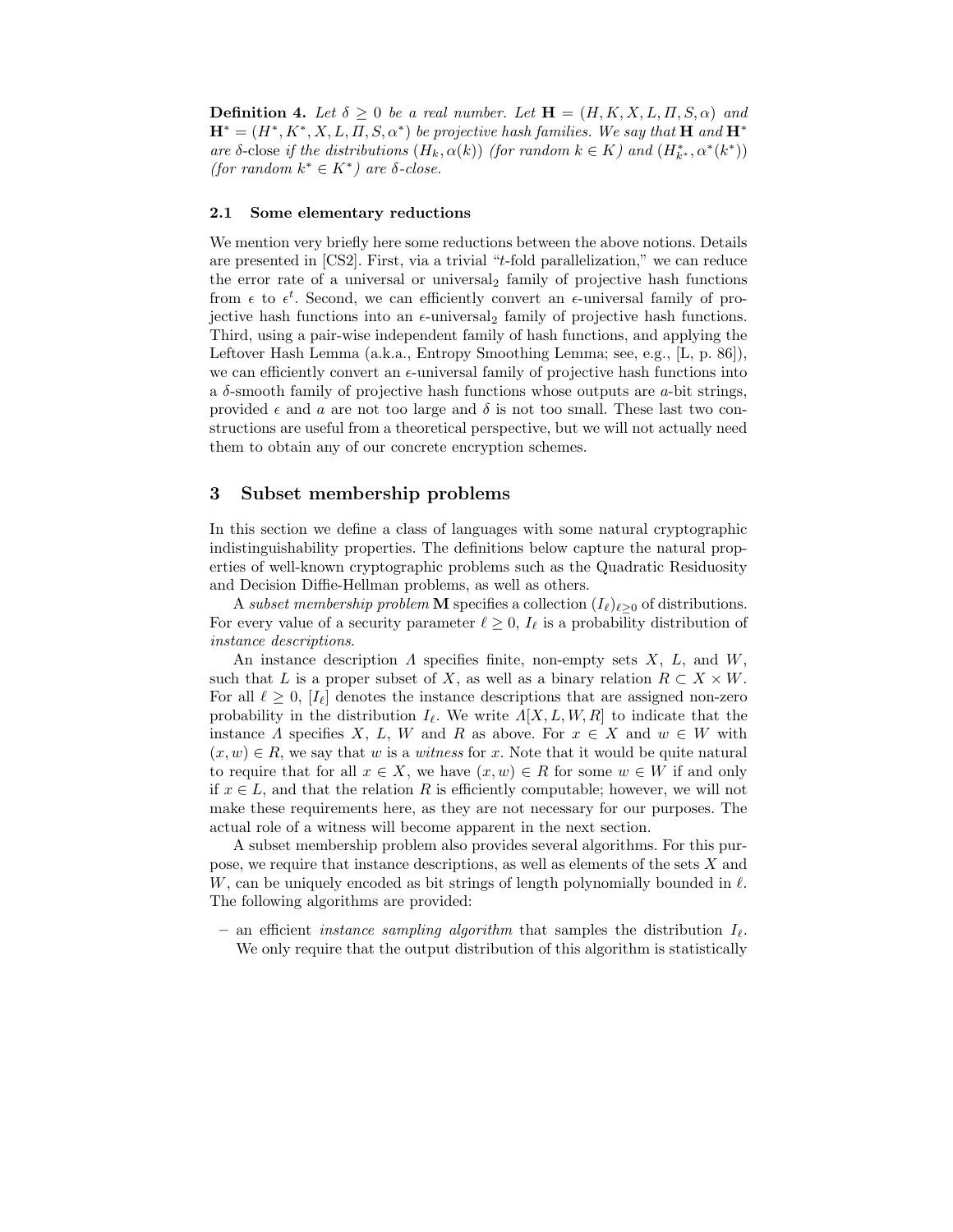**Definition 4.** Let  $\delta > 0$  be a real number. Let  $\mathbf{H} = (H, K, X, L, \Pi, S, \alpha)$  and  $\mathbf{H}^* = (H^*, K^*, X, L, \Pi, S, \alpha^*)$  be projective hash families. We say that **H** and  $\mathbf{H}^*$ are δ-close if the distributions  $(H_k, \alpha(k))$  (for random  $k \in K$ ) and  $(H_{k^*}^*, \alpha^*(k^*))$ (for random  $k^* \in K^*$ ) are  $\delta$ -close.

#### 2.1 Some elementary reductions

We mention very briefly here some reductions between the above notions. Details are presented in [CS2]. First, via a trivial "t-fold parallelization," we can reduce the error rate of a universal or universal<sub>2</sub> family of projective hash functions from  $\epsilon$  to  $\epsilon^t$ . Second, we can efficiently convert an  $\epsilon$ -universal family of projective hash functions into an  $\epsilon$ -universal<sub>2</sub> family of projective hash functions. Third, using a pair-wise independent family of hash functions, and applying the Leftover Hash Lemma (a.k.a., Entropy Smoothing Lemma; see, e.g., [L, p. 86]), we can efficiently convert an  $\epsilon$ -universal family of projective hash functions into a  $\delta$ -smooth family of projective hash functions whose outputs are *a*-bit strings, provided  $\epsilon$  and a are not too large and  $\delta$  is not too small. These last two constructions are useful from a theoretical perspective, but we will not actually need them to obtain any of our concrete encryption schemes.

## 3 Subset membership problems

In this section we define a class of languages with some natural cryptographic indistinguishability properties. The definitions below capture the natural properties of well-known cryptographic problems such as the Quadratic Residuosity and Decision Diffie-Hellman problems, as well as others.

A subset membership problem **M** specifies a collection  $(I_{\ell})_{\ell>0}$  of distributions. For every value of a security parameter  $\ell \geq 0$ ,  $I_{\ell}$  is a probability distribution of instance descriptions.

An instance description  $\Lambda$  specifies finite, non-empty sets  $X$ ,  $L$ , and  $W$ , such that L is a proper subset of X, as well as a binary relation  $R \subset X \times W$ . For all  $\ell \geq 0$ ,  $[I_{\ell}]$  denotes the instance descriptions that are assigned non-zero probability in the distribution  $I_\ell$ . We write  $\Lambda[X, L, W, R]$  to indicate that the instance  $\Lambda$  specifies  $X, L, W$  and  $R$  as above. For  $x \in X$  and  $w \in W$  with  $(x, w) \in R$ , we say that w is a witness for x. Note that it would be quite natural to require that for all  $x \in X$ , we have  $(x, w) \in R$  for some  $w \in W$  if and only if  $x \in L$ , and that the relation R is efficiently computable; however, we will not make these requirements here, as they are not necessary for our purposes. The actual role of a witness will become apparent in the next section.

A subset membership problem also provides several algorithms. For this purpose, we require that instance descriptions, as well as elements of the sets X and W, can be uniquely encoded as bit strings of length polynomially bounded in  $\ell$ . The following algorithms are provided:

– an efficient *instance sampling algorithm* that samples the distribution  $I_\ell$ . We only require that the output distribution of this algorithm is statistically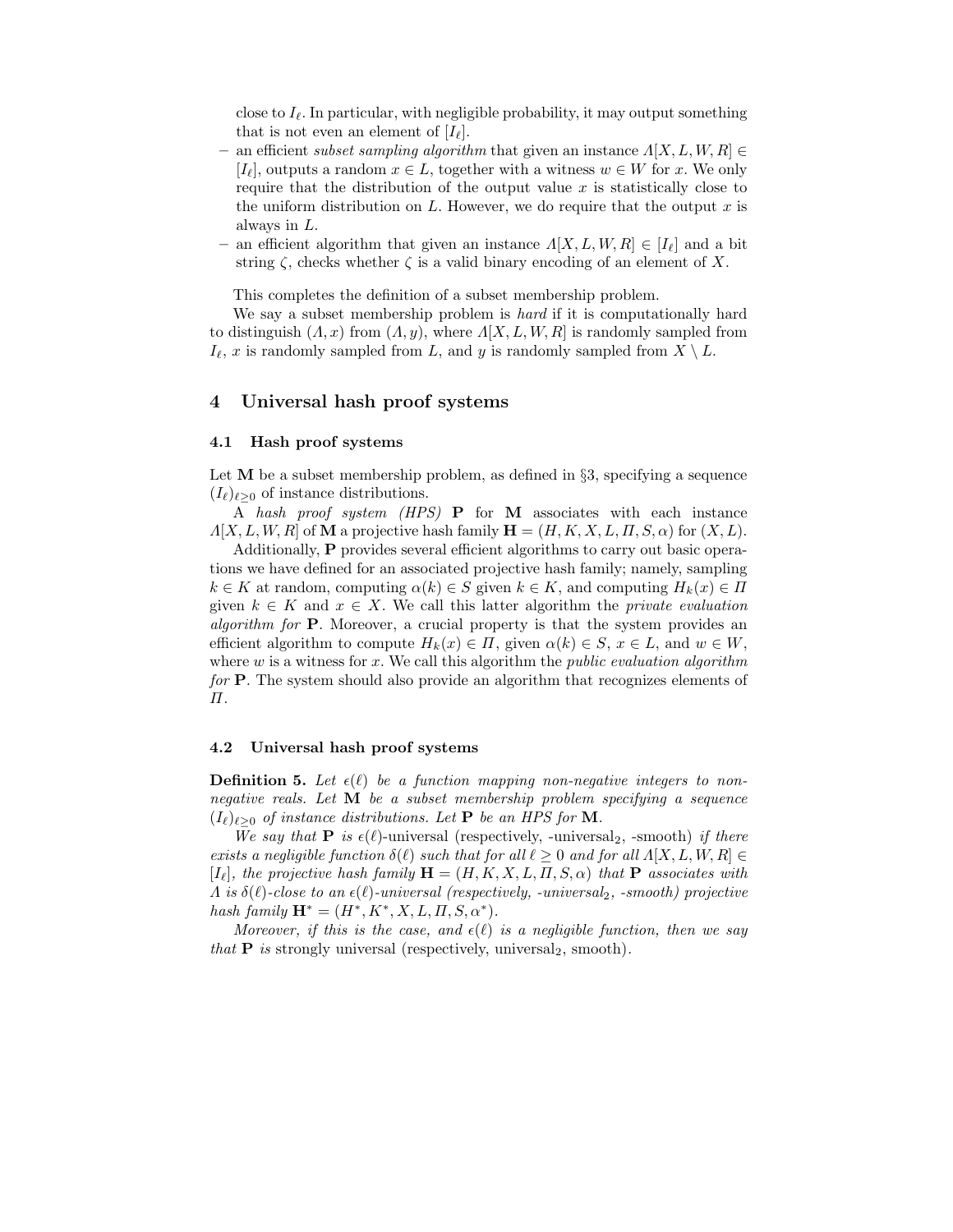close to  $I_\ell$ . In particular, with negligible probability, it may output something that is not even an element of  $[I_\ell]$ .

- an efficient *subset sampling algorithm* that given an instance  $\Lambda[X, L, W, R] \in$ [I<sub>l</sub>], outputs a random  $x \in L$ , together with a witness  $w \in W$  for x. We only require that the distribution of the output value  $x$  is statistically close to the uniform distribution on  $L$ . However, we do require that the output  $x$  is always in L.
- an efficient algorithm that given an instance  $\Lambda[X, L, W, R] \in [I_\ell]$  and a bit string  $\zeta$ , checks whether  $\zeta$  is a valid binary encoding of an element of X.

This completes the definition of a subset membership problem.

We say a subset membership problem is *hard* if it is computationally hard to distinguish  $(A, x)$  from  $(A, y)$ , where  $A[X, L, W, R]$  is randomly sampled from  $I_{\ell}$ , x is randomly sampled from L, and y is randomly sampled from  $X \setminus L$ .

## 4 Universal hash proof systems

#### 4.1 Hash proof systems

Let  $M$  be a subset membership problem, as defined in §3, specifying a sequence  $(I_{\ell})_{\ell>0}$  of instance distributions.

A hash proof system (HPS) P for M associates with each instance  $A[X, L, W, R]$  of **M** a projective hash family  $\mathbf{H} = (H, K, X, L, \Pi, S, \alpha)$  for  $(X, L)$ .

Additionally, P provides several efficient algorithms to carry out basic operations we have defined for an associated projective hash family; namely, sampling  $k \in K$  at random, computing  $\alpha(k) \in S$  given  $k \in K$ , and computing  $H_k(x) \in \Pi$ given  $k \in K$  and  $x \in X$ . We call this latter algorithm the *private evaluation* algorithm for P. Moreover, a crucial property is that the system provides an efficient algorithm to compute  $H_k(x) \in \Pi$ , given  $\alpha(k) \in S$ ,  $x \in L$ , and  $w \in W$ , where  $w$  is a witness for  $x$ . We call this algorithm the *public evaluation algorithm* for **P**. The system should also provide an algorithm that recognizes elements of Π.

## 4.2 Universal hash proof systems

**Definition 5.** Let  $\epsilon(\ell)$  be a function mapping non-negative integers to nonnegative reals. Let **M** be a subset membership problem specifying a sequence  $(I_{\ell})_{\ell>0}$  of instance distributions. Let **P** be an HPS for **M**.

We say that **P** is  $\epsilon(\ell)$ -universal (respectively, -universal<sub>2</sub>, -smooth) if there exists a negligible function  $\delta(\ell)$  such that for all  $\ell \geq 0$  and for all  $\Lambda[X, L, W, R] \in$ [I<sub>e</sub>], the projective hash family  $\mathbf{H} = (H, K, X, L, \Pi, S, \alpha)$  that P associates with  $\Lambda$  is  $\delta(\ell)$ -close to an  $\epsilon(\ell)$ -universal (respectively, -universal<sub>2</sub>, -smooth) projective hash family  $\mathbf{H}^* = (H^*, K^*, X, L, \Pi, S, \alpha^*).$ 

Moreover, if this is the case, and  $\epsilon(\ell)$  is a negligible function, then we say that **P** is strongly universal (respectively, universal<sub>2</sub>, smooth).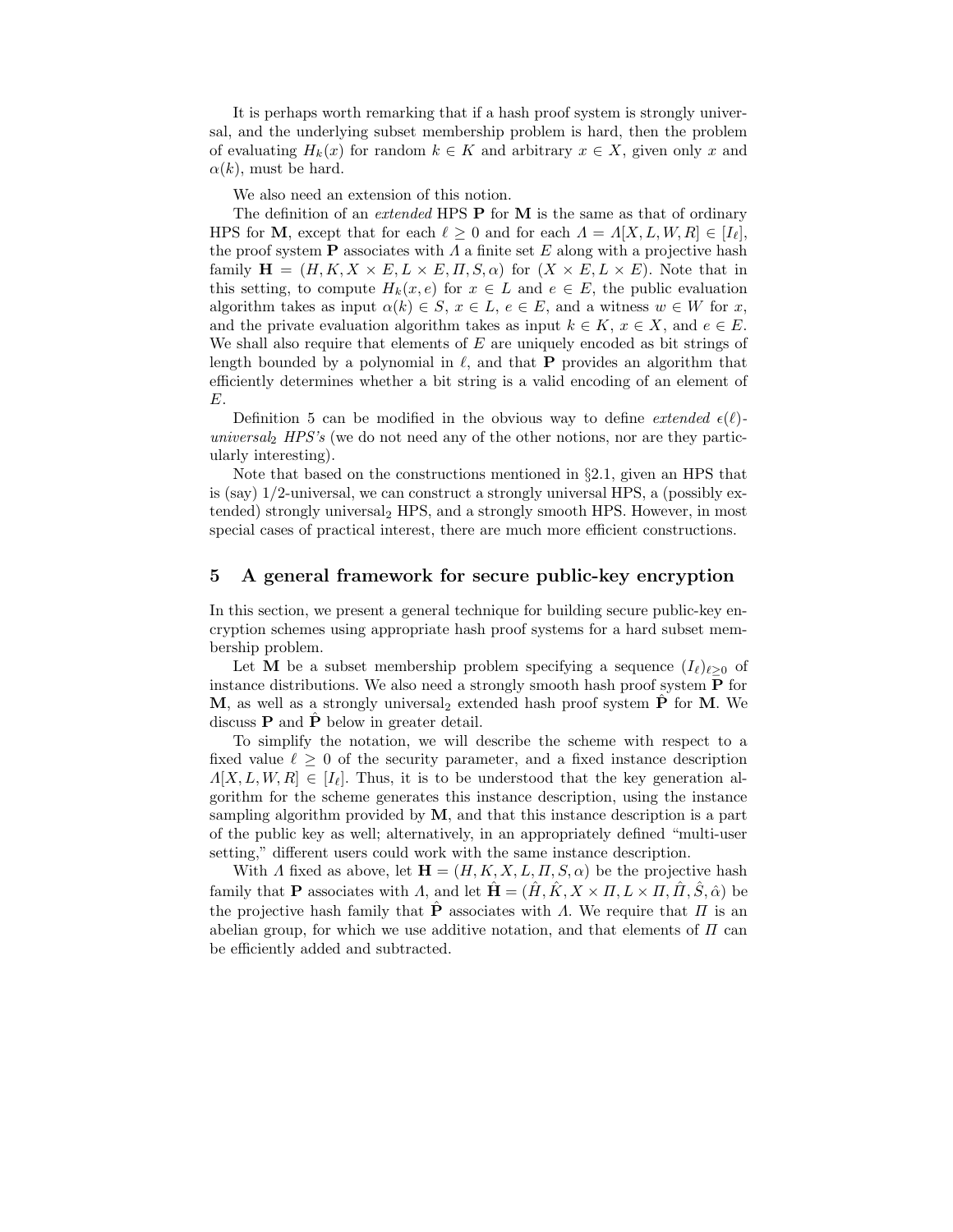It is perhaps worth remarking that if a hash proof system is strongly universal, and the underlying subset membership problem is hard, then the problem of evaluating  $H_k(x)$  for random  $k \in K$  and arbitrary  $x \in X$ , given only x and  $\alpha(k)$ , must be hard.

We also need an extension of this notion.

The definition of an *extended* HPS  $P$  for  $M$  is the same as that of ordinary HPS for **M**, except that for each  $\ell \geq 0$  and for each  $\Lambda = \Lambda[X, L, W, R] \in [I_{\ell}],$ the proof system **P** associates with  $\Lambda$  a finite set  $E$  along with a projective hash family  $\mathbf{H} = (H, K, X \times E, L \times E, \Pi, S, \alpha)$  for  $(X \times E, L \times E)$ . Note that in this setting, to compute  $H_k(x, e)$  for  $x \in L$  and  $e \in E$ , the public evaluation algorithm takes as input  $\alpha(k) \in S$ ,  $x \in L$ ,  $e \in E$ , and a witness  $w \in W$  for x, and the private evaluation algorithm takes as input  $k \in K$ ,  $x \in X$ , and  $e \in E$ . We shall also require that elements of  $E$  are uniquely encoded as bit strings of length bounded by a polynomial in  $\ell$ , and that **P** provides an algorithm that efficiently determines whether a bit string is a valid encoding of an element of E.

Definition 5 can be modified in the obvious way to define *extended*  $\epsilon(\ell)$ universal<sub>2</sub> HPS's (we do not need any of the other notions, nor are they particularly interesting).

Note that based on the constructions mentioned in  $\S 2.1$ , given an HPS that is (say) 1/2-universal, we can construct a strongly universal HPS, a (possibly extended) strongly universal<sub>2</sub> HPS, and a strongly smooth HPS. However, in most special cases of practical interest, there are much more efficient constructions.

# 5 A general framework for secure public-key encryption

In this section, we present a general technique for building secure public-key encryption schemes using appropriate hash proof systems for a hard subset membership problem.

Let **M** be a subset membership problem specifying a sequence  $(I_{\ell})_{\ell \geq 0}$  of instance distributions. We also need a strongly smooth hash proof system P for M, as well as a strongly universal<sub>2</sub> extended hash proof system  $\hat{P}$  for M. We discuss  $P$  and  $P$  below in greater detail.

To simplify the notation, we will describe the scheme with respect to a fixed value  $\ell > 0$  of the security parameter, and a fixed instance description  $\Lambda[X, L, W, R] \in [I_{\ell}].$  Thus, it is to be understood that the key generation algorithm for the scheme generates this instance description, using the instance sampling algorithm provided by  $M$ , and that this instance description is a part of the public key as well; alternatively, in an appropriately defined "multi-user setting," different users could work with the same instance description.

With  $\Lambda$  fixed as above, let  $\mathbf{H} = (H, K, X, L, \Pi, S, \alpha)$  be the projective hash family that **P** associates with A, and let  $\mathbf{\hat{H}} = (\hat{H}, \hat{K}, X \times \Pi, L \times \Pi, \hat{\Pi}, \hat{S}, \hat{\alpha})$  be the projective hash family that  $\hat{P}$  associates with  $\Lambda$ . We require that  $\Pi$  is an abelian group, for which we use additive notation, and that elements of  $\Pi$  can be efficiently added and subtracted.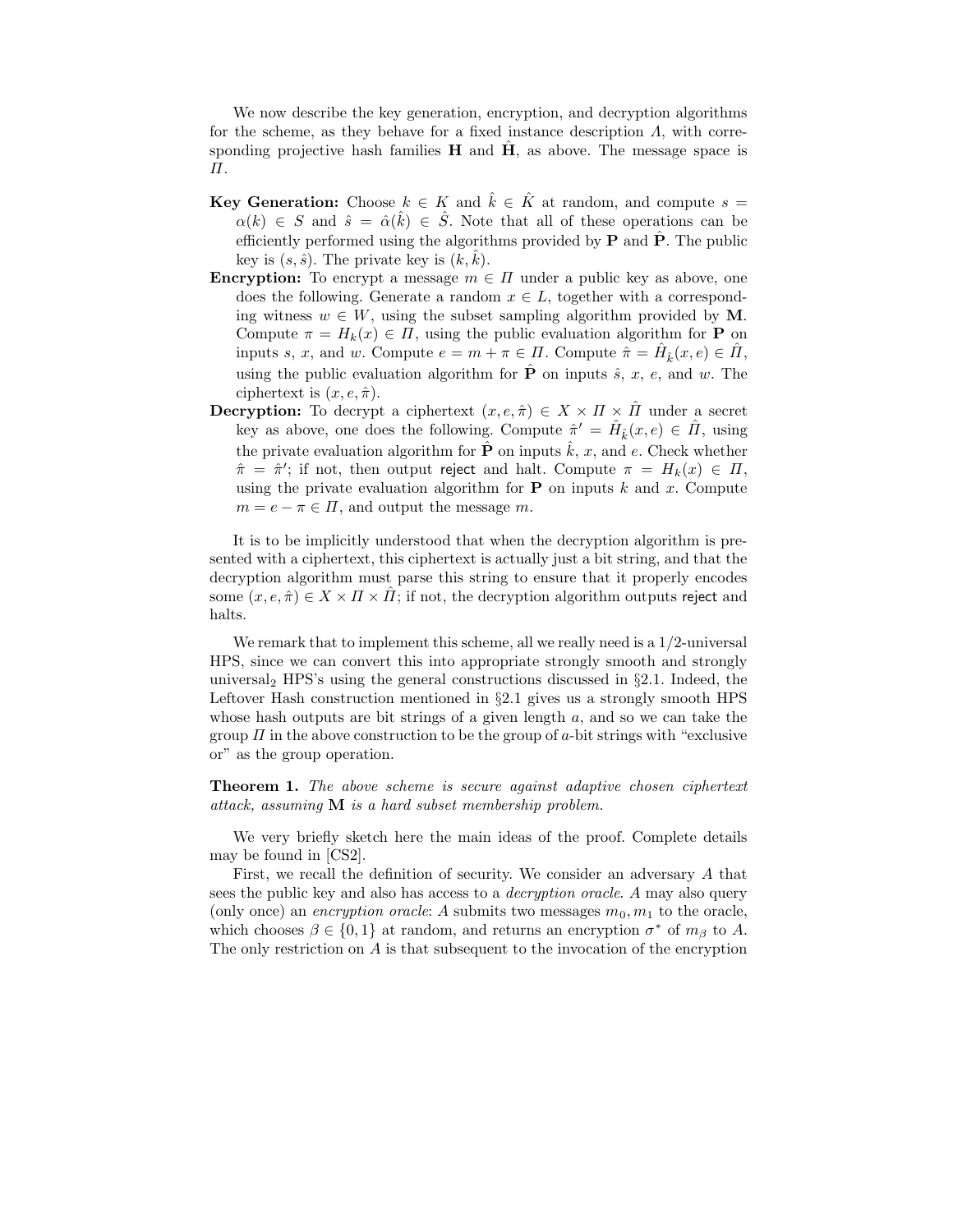We now describe the key generation, encryption, and decryption algorithms for the scheme, as they behave for a fixed instance description  $\Lambda$ , with corresponding projective hash families  $H$  and  $H$ , as above. The message space is Π.

- **Key Generation:** Choose  $k \in K$  and  $\hat{k} \in \hat{K}$  at random, and compute  $s =$  $\alpha(k) \in S$  and  $\hat{s} = \hat{\alpha}(\hat{k}) \in \hat{S}$ . Note that all of these operations can be efficiently performed using the algorithms provided by  $P$  and  $\overline{P}$ . The public key is  $(s, \hat{s})$ . The private key is  $(\tilde{k}, \hat{k})$ .
- **Encryption:** To encrypt a message  $m \in \Pi$  under a public key as above, one does the following. Generate a random  $x \in L$ , together with a corresponding witness  $w \in W$ , using the subset sampling algorithm provided by M. Compute  $\pi = H_k(x) \in \Pi$ , using the public evaluation algorithm for **P** on inputs s, x, and w. Compute  $e = m + \pi \in \Pi$ . Compute  $\hat{\pi} = \hat{H}_{\hat{k}}(x, e) \in \hat{\Pi}$ , using the public evaluation algorithm for  $\hat{\mathbf{P}}$  on inputs  $\hat{s}$ , x, e, and w. The ciphertext is  $(x, e, \hat{\pi})$ .
- **Decryption:** To decrypt a ciphertext  $(x, e, \hat{\pi}) \in X \times \Pi \times \hat{\Pi}$  under a secret key as above, one does the following. Compute  $\hat{\pi}' = \hat{H}_{\hat{k}}(x, e) \in \hat{\Pi}$ , using the private evaluation algorithm for  $\hat{\mathbf{P}}$  on inputs  $\hat{k}$ , x, and e. Check whether  $\hat{\pi} = \hat{\pi}'$ ; if not, then output reject and halt. Compute  $\pi = H_k(x) \in \Pi$ , using the private evaluation algorithm for  $P$  on inputs k and x. Compute  $m = e - \pi \in \Pi$ , and output the message m.

It is to be implicitly understood that when the decryption algorithm is presented with a ciphertext, this ciphertext is actually just a bit string, and that the decryption algorithm must parse this string to ensure that it properly encodes some  $(x, e, \hat{\pi}) \in X \times \Pi \times \Pi$ ; if not, the decryption algorithm outputs reject and halts.

We remark that to implement this scheme, all we really need is a  $1/2$ -universal HPS, since we can convert this into appropriate strongly smooth and strongly universal<sub>2</sub> HPS's using the general constructions discussed in  $\S$ 2.1. Indeed, the Leftover Hash construction mentioned in §2.1 gives us a strongly smooth HPS whose hash outputs are bit strings of a given length  $a$ , and so we can take the group  $\Pi$  in the above construction to be the group of a-bit strings with "exclusive or" as the group operation.

Theorem 1. The above scheme is secure against adaptive chosen ciphertext attack, assuming M is a hard subset membership problem.

We very briefly sketch here the main ideas of the proof. Complete details may be found in [CS2].

First, we recall the definition of security. We consider an adversary A that sees the public key and also has access to a *decryption oracle*. A may also query (only once) an *encryption oracle*: A submits two messages  $m_0, m_1$  to the oracle, which chooses  $\beta \in \{0,1\}$  at random, and returns an encryption  $\sigma^*$  of  $m_\beta$  to A. The only restriction on A is that subsequent to the invocation of the encryption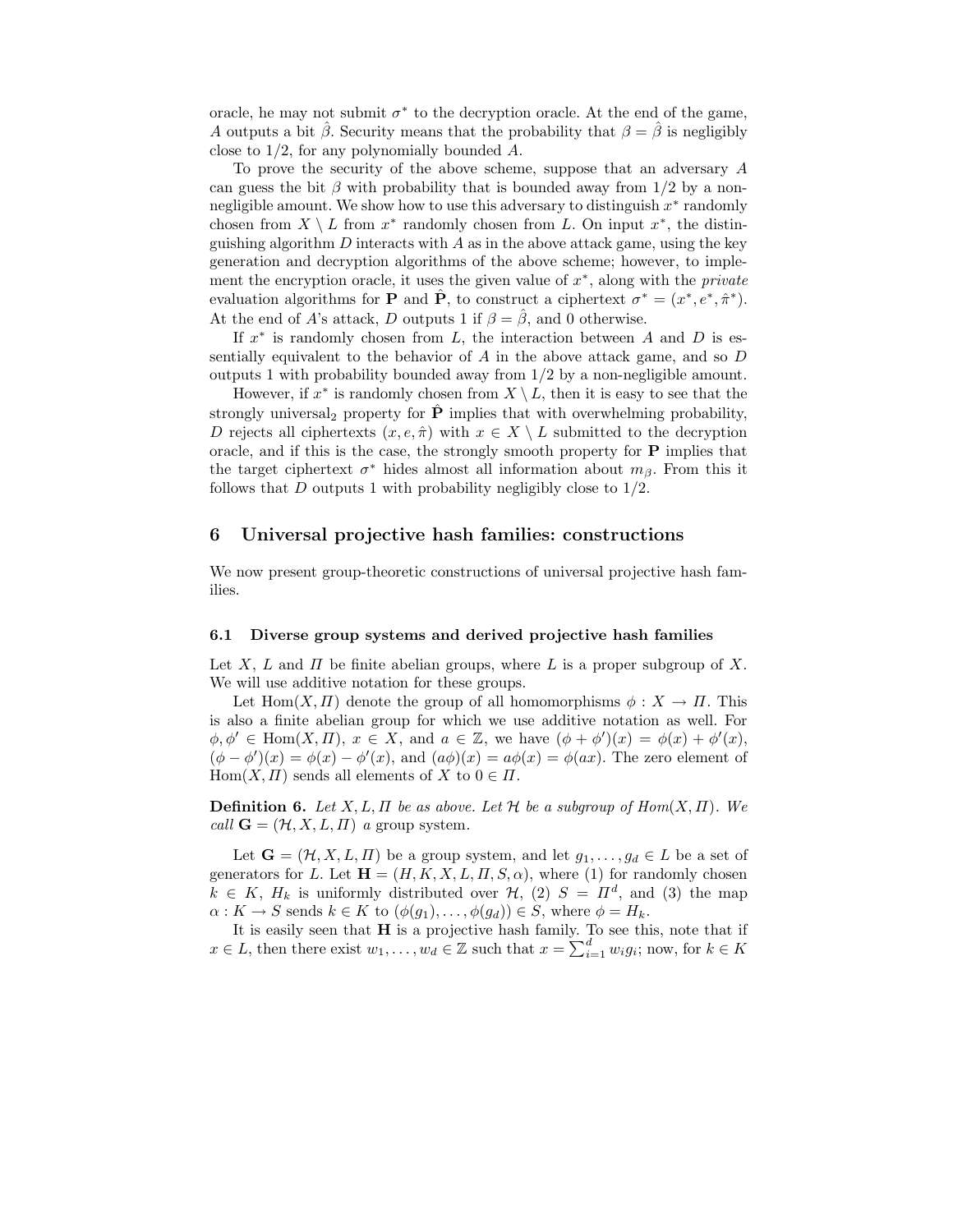oracle, he may not submit  $\sigma^*$  to the decryption oracle. At the end of the game, A outputs a bit  $\hat{\beta}$ . Security means that the probability that  $\beta = \hat{\beta}$  is negligibly close to 1/2, for any polynomially bounded A.

To prove the security of the above scheme, suppose that an adversary A can guess the bit  $\beta$  with probability that is bounded away from 1/2 by a nonnegligible amount. We show how to use this adversary to distinguish  $x^*$  randomly chosen from  $X \setminus L$  from  $x^*$  randomly chosen from L. On input  $x^*$ , the distinguishing algorithm  $D$  interacts with  $A$  as in the above attack game, using the key generation and decryption algorithms of the above scheme; however, to implement the encryption oracle, it uses the given value of  $x^*$ , along with the *private* evaluation algorithms for **P** and  $\hat{\mathbf{P}}$ , to construct a ciphertext  $\sigma^* = (x^*, e^*, \hat{\pi}^*)$ . At the end of A's attack, D outputs 1 if  $\beta = \hat{\beta}$ , and 0 otherwise.

If  $x^*$  is randomly chosen from  $L$ , the interaction between  $A$  and  $D$  is essentially equivalent to the behavior of  $A$  in the above attack game, and so  $D$ outputs 1 with probability bounded away from 1/2 by a non-negligible amount.

However, if  $x^*$  is randomly chosen from  $X \setminus L$ , then it is easy to see that the strongly universal<sub>2</sub> property for  $\tilde{P}$  implies that with overwhelming probability, D rejects all ciphertexts  $(x, e, \hat{\pi})$  with  $x \in X \setminus L$  submitted to the decryption oracle, and if this is the case, the strongly smooth property for  $P$  implies that the target ciphertext  $\sigma^*$  hides almost all information about  $m_\beta$ . From this it follows that D outputs 1 with probability negligibly close to  $1/2$ .

## 6 Universal projective hash families: constructions

We now present group-theoretic constructions of universal projective hash families.

#### 6.1 Diverse group systems and derived projective hash families

Let X, L and  $\Pi$  be finite abelian groups, where L is a proper subgroup of X. We will use additive notation for these groups.

Let Hom $(X, \Pi)$  denote the group of all homomorphisms  $\phi: X \to \Pi$ . This is also a finite abelian group for which we use additive notation as well. For  $\phi, \phi' \in \text{Hom}(X, \Pi), x \in X$ , and  $a \in \mathbb{Z}$ , we have  $(\phi + \phi')(x) = \phi(x) + \phi'(x)$ ,  $(\phi - \phi')(x) = \phi(x) - \phi'(x)$ , and  $(a\phi)(x) = a\phi(x) = \phi(ax)$ . The zero element of  $Hom(X, \Pi)$  sends all elements of X to  $0 \in \Pi$ .

**Definition 6.** Let  $X, L, \Pi$  be as above. Let  $H$  be a subgroup of  $Hom(X, \Pi)$ . We call  $\mathbf{G} = (\mathcal{H}, X, L, \Pi)$  a group system.

Let  $\mathbf{G} = (\mathcal{H}, X, L, \Pi)$  be a group system, and let  $g_1, \ldots, g_d \in L$  be a set of generators for L. Let  $\mathbf{H} = (H, K, X, L, \Pi, S, \alpha)$ , where (1) for randomly chosen  $k \in K$ ,  $H_k$  is uniformly distributed over  $H$ , (2)  $S = \Pi^d$ , and (3) the map  $\alpha: K \to S$  sends  $k \in K$  to  $(\phi(g_1), \ldots, \phi(g_d)) \in S$ , where  $\phi = H_k$ .

It is easily seen that H is a projective hash family. To see this, note that if  $x \in L$ , then there exist  $w_1, \ldots, w_d \in \mathbb{Z}$  such that  $x = \sum_{i=1}^d w_i g_i$ ; now, for  $k \in K$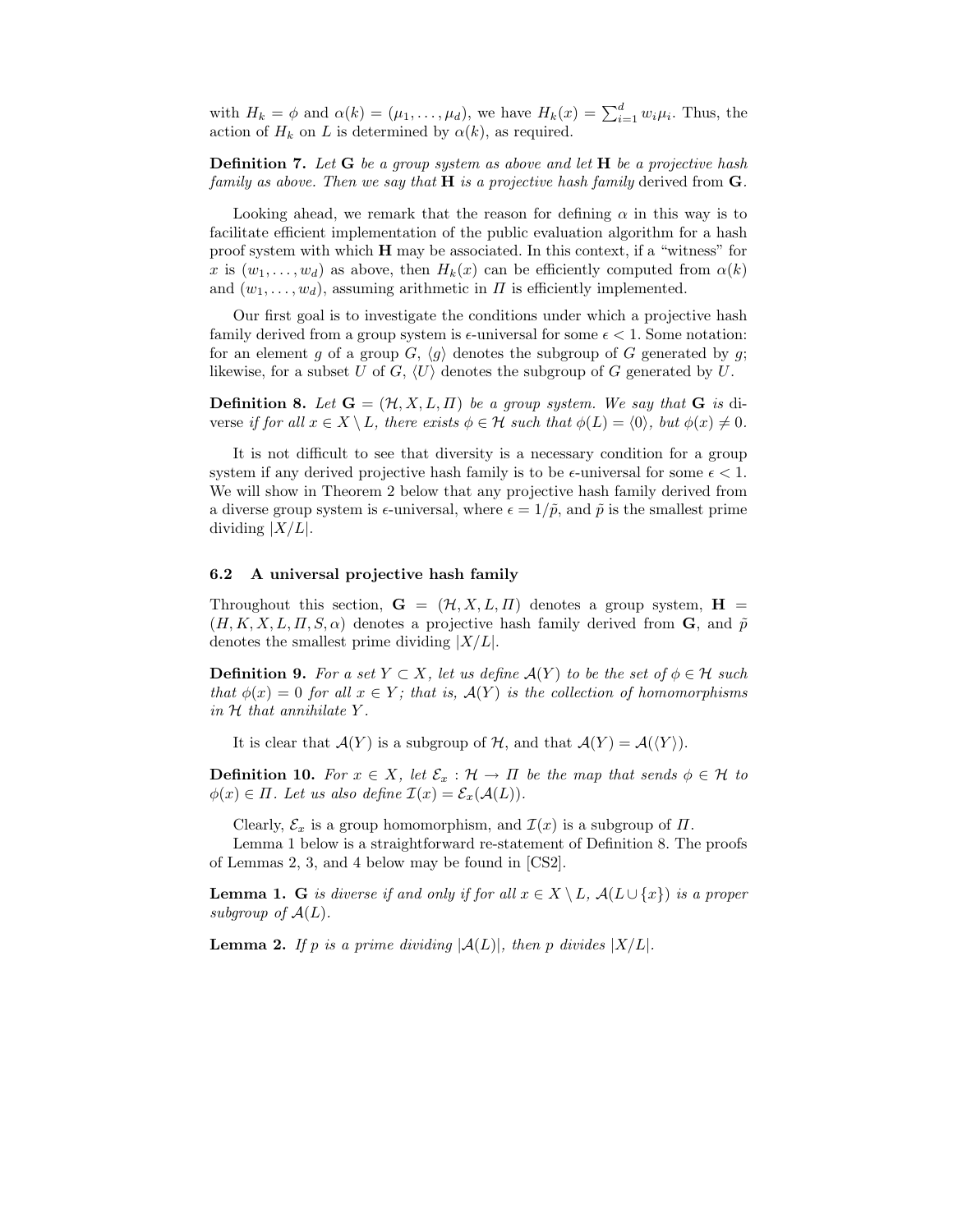with  $H_k = \phi$  and  $\alpha(k) = (\mu_1, \dots, \mu_d)$ , we have  $H_k(x) = \sum_{i=1}^d w_i \mu_i$ . Thus, the action of  $H_k$  on L is determined by  $\alpha(k)$ , as required.

**Definition 7.** Let  $G$  be a group system as above and let  $H$  be a projective hash family as above. Then we say that  $H$  is a projective hash family derived from  $G$ .

Looking ahead, we remark that the reason for defining  $\alpha$  in this way is to facilitate efficient implementation of the public evaluation algorithm for a hash proof system with which H may be associated. In this context, if a "witness" for x is  $(w_1, \ldots, w_d)$  as above, then  $H_k(x)$  can be efficiently computed from  $\alpha(k)$ and  $(w_1, \ldots, w_d)$ , assuming arithmetic in  $\Pi$  is efficiently implemented.

Our first goal is to investigate the conditions under which a projective hash family derived from a group system is  $\epsilon$ -universal for some  $\epsilon < 1$ . Some notation: for an element g of a group  $G$ ,  $\langle q \rangle$  denotes the subgroup of G generated by q; likewise, for a subset U of G,  $\langle U \rangle$  denotes the subgroup of G generated by U.

**Definition 8.** Let  $G = (\mathcal{H}, X, L, \Pi)$  be a group system. We say that G is diverse if for all  $x \in X \setminus L$ , there exists  $\phi \in \mathcal{H}$  such that  $\phi(L) = \langle 0 \rangle$ , but  $\phi(x) \neq 0$ .

It is not difficult to see that diversity is a necessary condition for a group system if any derived projective hash family is to be  $\epsilon$ -universal for some  $\epsilon < 1$ . We will show in Theorem 2 below that any projective hash family derived from a diverse group system is  $\epsilon$ -universal, where  $\epsilon = 1/\tilde{p}$ , and  $\tilde{p}$  is the smallest prime dividing  $|X/L|$ .

## 6.2 A universal projective hash family

Throughout this section,  $G = (\mathcal{H}, X, L, \Pi)$  denotes a group system,  $H =$  $(H, K, X, L, \Pi, S, \alpha)$  denotes a projective hash family derived from **G**, and  $\tilde{p}$ denotes the smallest prime dividing  $|X/L|$ .

**Definition 9.** For a set  $Y \subset X$ , let us define  $\mathcal{A}(Y)$  to be the set of  $\phi \in \mathcal{H}$  such that  $\phi(x) = 0$  for all  $x \in Y$ ; that is,  $\mathcal{A}(Y)$  is the collection of homomorphisms in  $H$  that annihilate  $Y$ .

It is clear that  $\mathcal{A}(Y)$  is a subgroup of  $\mathcal{H}$ , and that  $\mathcal{A}(Y) = \mathcal{A}(\langle Y \rangle)$ .

**Definition 10.** For  $x \in X$ , let  $\mathcal{E}_x : \mathcal{H} \to \Pi$  be the map that sends  $\phi \in \mathcal{H}$  to  $\phi(x) \in \Pi$ . Let us also define  $\mathcal{I}(x) = \mathcal{E}_x(\mathcal{A}(L)).$ 

Clearly,  $\mathcal{E}_x$  is a group homomorphism, and  $\mathcal{I}(x)$  is a subgroup of  $\Pi$ .

Lemma 1 below is a straightforward re-statement of Definition 8. The proofs of Lemmas 2, 3, and 4 below may be found in [CS2].

**Lemma 1. G** is diverse if and only if for all  $x \in X \setminus L$ ,  $\mathcal{A}(L \cup \{x\})$  is a proper subgroup of  $A(L)$ .

**Lemma 2.** If p is a prime dividing  $|A(L)|$ , then p divides  $|X/L|$ .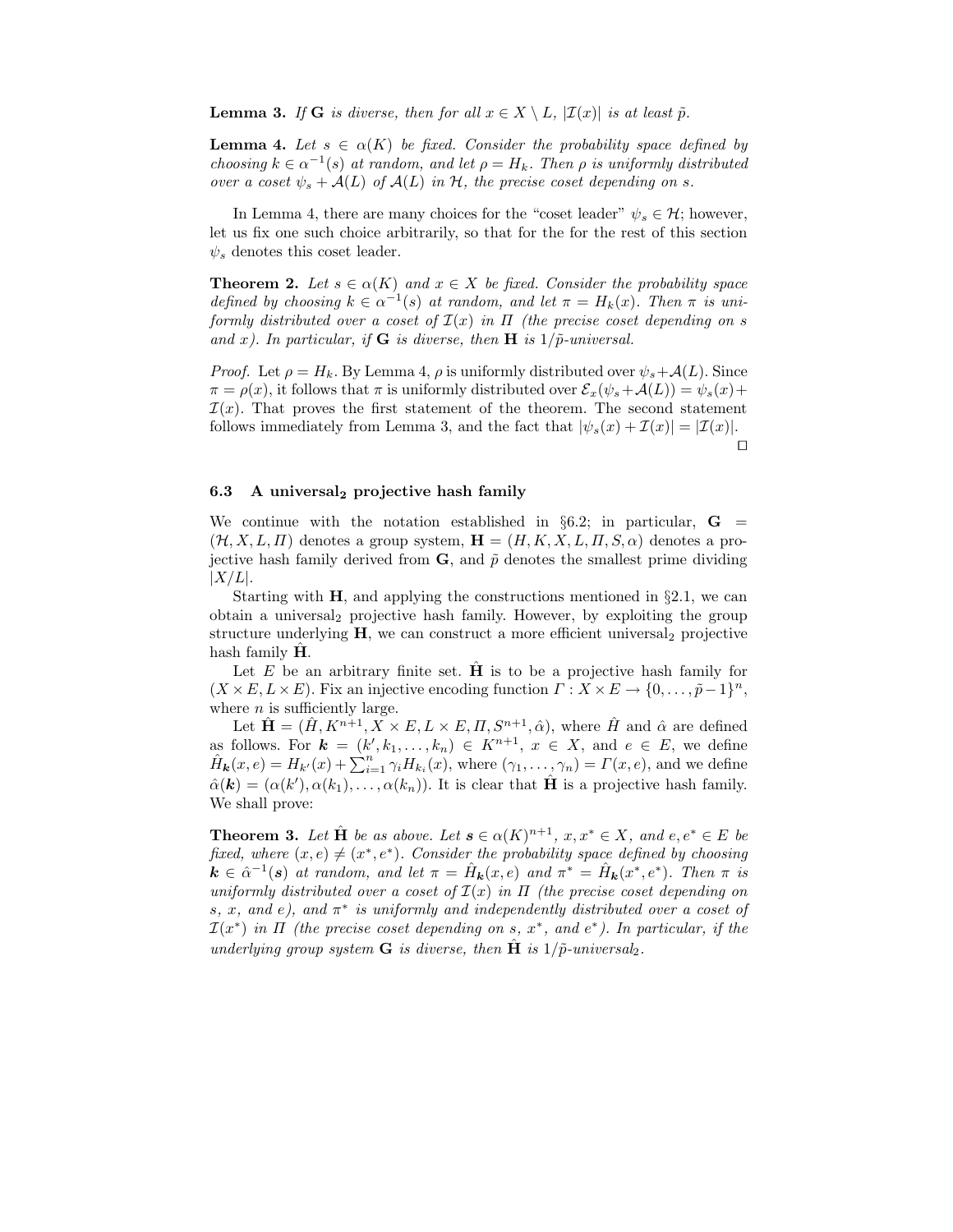## **Lemma 3.** If G is diverse, then for all  $x \in X \setminus L$ ,  $|\mathcal{I}(x)|$  is at least  $\tilde{p}$ .

**Lemma 4.** Let  $s \in \alpha(K)$  be fixed. Consider the probability space defined by choosing  $k \in \alpha^{-1}(s)$  at random, and let  $\rho = H_k$ . Then  $\rho$  is uniformly distributed over a coset  $\psi_s + A(L)$  of  $A(L)$  in H, the precise coset depending on s.

In Lemma 4, there are many choices for the "coset leader"  $\psi_s \in \mathcal{H}$ ; however, let us fix one such choice arbitrarily, so that for the for the rest of this section  $\psi_s$  denotes this coset leader.

**Theorem 2.** Let  $s \in \alpha(K)$  and  $x \in X$  be fixed. Consider the probability space defined by choosing  $k \in \alpha^{-1}(s)$  at random, and let  $\pi = H_k(x)$ . Then  $\pi$  is uniformly distributed over a coset of  $\mathcal{I}(x)$  in  $\Pi$  (the precise coset depending on s and x). In particular, if **G** is diverse, then **H** is  $1/\tilde{p}$ -universal.

*Proof.* Let  $\rho = H_k$ . By Lemma 4,  $\rho$  is uniformly distributed over  $\psi_s + \mathcal{A}(L)$ . Since  $\pi = \rho(x)$ , it follows that  $\pi$  is uniformly distributed over  $\mathcal{E}_x(\psi_s + \mathcal{A}(L)) = \psi_s(x) + \mathcal{E}(L)$  $\mathcal{I}(x)$ . That proves the first statement of the theorem. The second statement follows immediately from Lemma 3, and the fact that  $|\psi_s(x) + \mathcal{I}(x)| = |\mathcal{I}(x)|$ .

 $\Box$ 

#### 6.3 A universal<sub>2</sub> projective hash family

We continue with the notation established in  $\S6.2$ ; in particular,  $G =$  $(\mathcal{H}, X, L, \Pi)$  denotes a group system,  $\mathbf{H} = (H, K, X, L, \Pi, S, \alpha)$  denotes a projective hash family derived from  $\bf{G}$ , and  $\tilde{p}$  denotes the smallest prime dividing  $|X/L|$ .

Starting with  $H$ , and applying the constructions mentioned in §2.1, we can  $obtain a universal<sub>2</sub> projective hash family. However, by exploiting the group$ structure underlying  $H$ , we can construct a more efficient universal projective hash family  $H$ .

Let E be an arbitrary finite set.  $\hat{H}$  is to be a projective hash family for  $(X \times E, L \times E)$ . Fix an injective encoding function  $\Gamma : X \times E \to \{0, \ldots, \tilde{p}-1\}^n$ , where  $n$  is sufficiently large.

Let  $\hat{\mathbf{H}} = (\hat{H}, K^{n+1}, X \times E, L \times E, \Pi, S^{n+1}, \hat{\alpha})$ , where  $\hat{H}$  and  $\hat{\alpha}$  are defined as follows. For  $\mathbf{k} = (k', k_1, \ldots, k_n) \in K^{n+1}, x \in X$ , and  $e \in E$ , we define  $\hat{H}_{\boldsymbol{k}}(x,e) = H_{k'}(x) + \sum_{i=1}^n \gamma_i H_{k_i}(x)$ , where  $(\gamma_1, \ldots, \gamma_n) = \Gamma(x,e)$ , and we define  $\hat{\alpha}(\mathbf{k}) = (\alpha(k'), \alpha(k_1), \dots, \alpha(k_n)).$  It is clear that  $\hat{\mathbf{H}}$  is a projective hash family. We shall prove:

**Theorem 3.** Let  $\hat{H}$  be as above. Let  $s \in \alpha(K)^{n+1}$ ,  $x, x^* \in X$ , and  $e, e^* \in E$  be fixed, where  $(x, e) \neq (x^*, e^*)$ . Consider the probability space defined by choosing  $\mathbf{k} \in \hat{\alpha}^{-1}(\mathbf{s})$  at random, and let  $\pi = \hat{H}_{\mathbf{k}}(x,e)$  and  $\pi^* = \hat{H}_{\mathbf{k}}(x^*,e^*)$ . Then  $\pi$  is uniformly distributed over a coset of  $\mathcal{I}(x)$  in  $\Pi$  (the precise coset depending on s, x, and e), and  $\pi^*$  is uniformly and independently distributed over a coset of  $\mathcal{I}(x^*)$  in  $\Pi$  (the precise coset depending on s,  $x^*$ , and  $e^*$ ). In particular, if the underlying group system **G** is diverse, then  $\hat{H}$  is  $1/\tilde{p}$ -universal.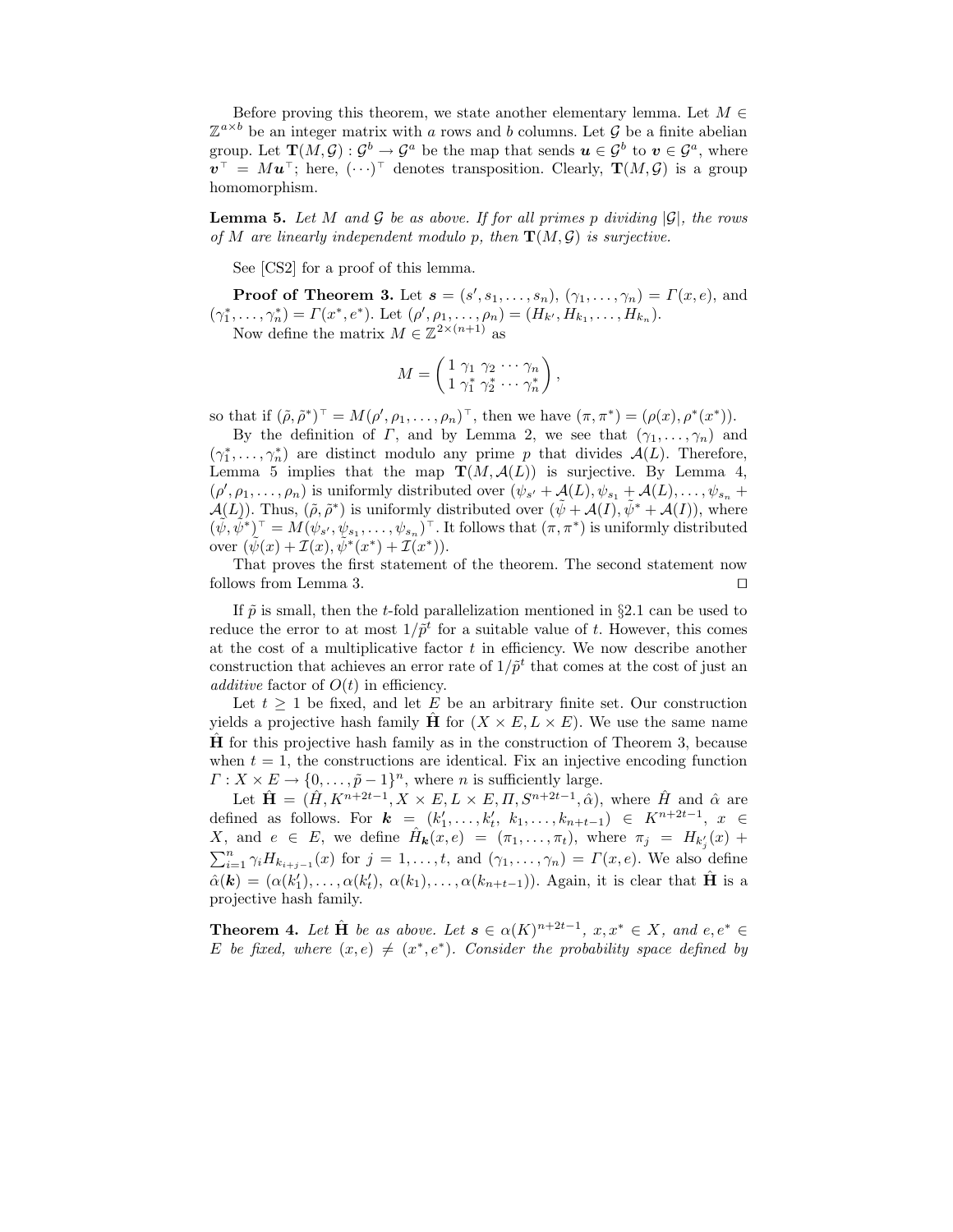Before proving this theorem, we state another elementary lemma. Let  $M \in$  $\mathbb{Z}^{a \times b}$  be an integer matrix with a rows and b columns. Let G be a finite abelian group. Let  $\mathbf{T}(M, \mathcal{G}): \mathcal{G}^b \to \mathcal{G}^a$  be the map that sends  $\mathbf{u} \in \mathcal{G}^b$  to  $\mathbf{v} \in \mathcal{G}^a$ , where  $v^{\top} = M u^{\top}$ ; here,  $(\cdots)^{\top}$  denotes transposition. Clearly,  $\mathbf{T}(M, \mathcal{G})$  is a group homomorphism.

**Lemma 5.** Let M and G be as above. If for all primes p dividing  $|\mathcal{G}|$ , the rows of M are linearly independent modulo p, then  $\mathbf{T}(M, \mathcal{G})$  is surjective.

See [CS2] for a proof of this lemma.

**Proof of Theorem 3.** Let  $\mathbf{s} = (s', s_1, \ldots, s_n), (\gamma_1, \ldots, \gamma_n) = \Gamma(x, e)$ , and  $(\gamma_1^*, \ldots, \gamma_n^*) = \Gamma(x^*, e^*).$  Let  $(\rho', \rho_1, \ldots, \rho_n) = (H_{k'}, H_{k_1}, \ldots, H_{k_n}).$ 

Now define the matrix  $M \in \mathbb{Z}^{2 \times (n+1)}$  as

$$
M = \begin{pmatrix} 1 & \gamma_1 & \gamma_2 & \cdots & \gamma_n \\ 1 & \gamma_1^* & \gamma_2^* & \cdots & \gamma_n^* \end{pmatrix},
$$

so that if  $(\tilde{\rho}, \tilde{\rho}^*)^{\top} = M(\rho', \rho_1, \ldots, \rho_n)^{\top}$ , then we have  $(\pi, \pi^*) = (\rho(x), \rho^*(x^*))$ .

By the definition of  $\Gamma$ , and by Lemma 2, we see that  $(\gamma_1, \ldots, \gamma_n)$  and  $(\gamma_1^*, \ldots, \gamma_n^*)$  are distinct modulo any prime p that divides  $\mathcal{A}(L)$ . Therefore, Lemma 5 implies that the map  $\mathbf{T}(M, \mathcal{A}(L))$  is surjective. By Lemma 4,  $(\rho', \rho_1, \ldots, \rho_n)$  is uniformly distributed over  $(\psi_{s'} + \mathcal{A}(L), \psi_{s_1} + \mathcal{A}(L), \ldots, \psi_{s_n} +$  $\mathcal{A}(L)$ ). Thus,  $(\tilde{\rho}, \tilde{\rho}^*)$  is uniformly distributed over  $(\tilde{\psi} + \mathcal{A}(I), \tilde{\psi}^* + \mathcal{A}(I))$ , where  $(\tilde{\psi}, \tilde{\psi}^*)^{\top} = M(\psi_{s'}, \psi_{s_1}, \dots, \psi_{s_n})^{\top}$ . It follows that  $(\pi, \pi^*)$  is uniformly distributed over  $(\tilde{\psi}(x) + \mathcal{I}(x), \tilde{\psi}^*(x^*) + \mathcal{I}(x^*))$ .

That proves the first statement of the theorem. The second statement now follows from Lemma 3.  $\Box$ 

If  $\tilde{p}$  is small, then the t-fold parallelization mentioned in §2.1 can be used to reduce the error to at most  $1/\tilde{p}^t$  for a suitable value of t. However, this comes at the cost of a multiplicative factor  $t$  in efficiency. We now describe another construction that achieves an error rate of  $1/\tilde{p}^t$  that comes at the cost of just an additive factor of  $O(t)$  in efficiency.

Let  $t \geq 1$  be fixed, and let E be an arbitrary finite set. Our construction yields a projective hash family **H** for  $(X \times E, L \times E)$ . We use the same name **H** for this projective hash family as in the construction of Theorem 3, because when  $t = 1$ , the constructions are identical. Fix an injective encoding function  $\Gamma: X \times E \to \{0, \ldots, \tilde{p}-1\}^n$ , where *n* is sufficiently large.

Let  $\hat{\mathbf{H}} = (\hat{H}, K^{n+2t-1}, X \times E, L \times E, \Pi, S^{n+2t-1}, \hat{\alpha})$ , where  $\hat{H}$  and  $\hat{\alpha}$  are defined as follows. For  $k = (k'_1, \ldots, k'_t, k_1, \ldots, k_{n+t-1}) \in K^{n+2t-1}, x \in$ X, and  $e \in E$ , we define  $\hat{H}_k(x,e) = (\pi_1,\ldots,\pi_t)$ , where  $\pi_j = H_{k'_j}(x) +$  $\sum_{i=1}^{n} \gamma_i H_{k_{i+j-1}}(x)$  for  $j = 1, \ldots, t$ , and  $(\gamma_1, \ldots, \gamma_n) = \Gamma(x, e)$ . We also define  $\hat{\alpha}(\mathbf{k}) = (\alpha(k'_1), \dots, \alpha(k'_t), \alpha(k_1), \dots, \alpha(k_{n+t-1}))$ . Again, it is clear that  $\hat{\mathbf{H}}$  is a projective hash family.

**Theorem 4.** Let  $\hat{H}$  be as above. Let  $s \in \alpha(K)^{n+2t-1}$ ,  $x, x^* \in X$ , and  $e, e^* \in$ E be fixed, where  $(x, e) \neq (x^*, e^*)$ . Consider the probability space defined by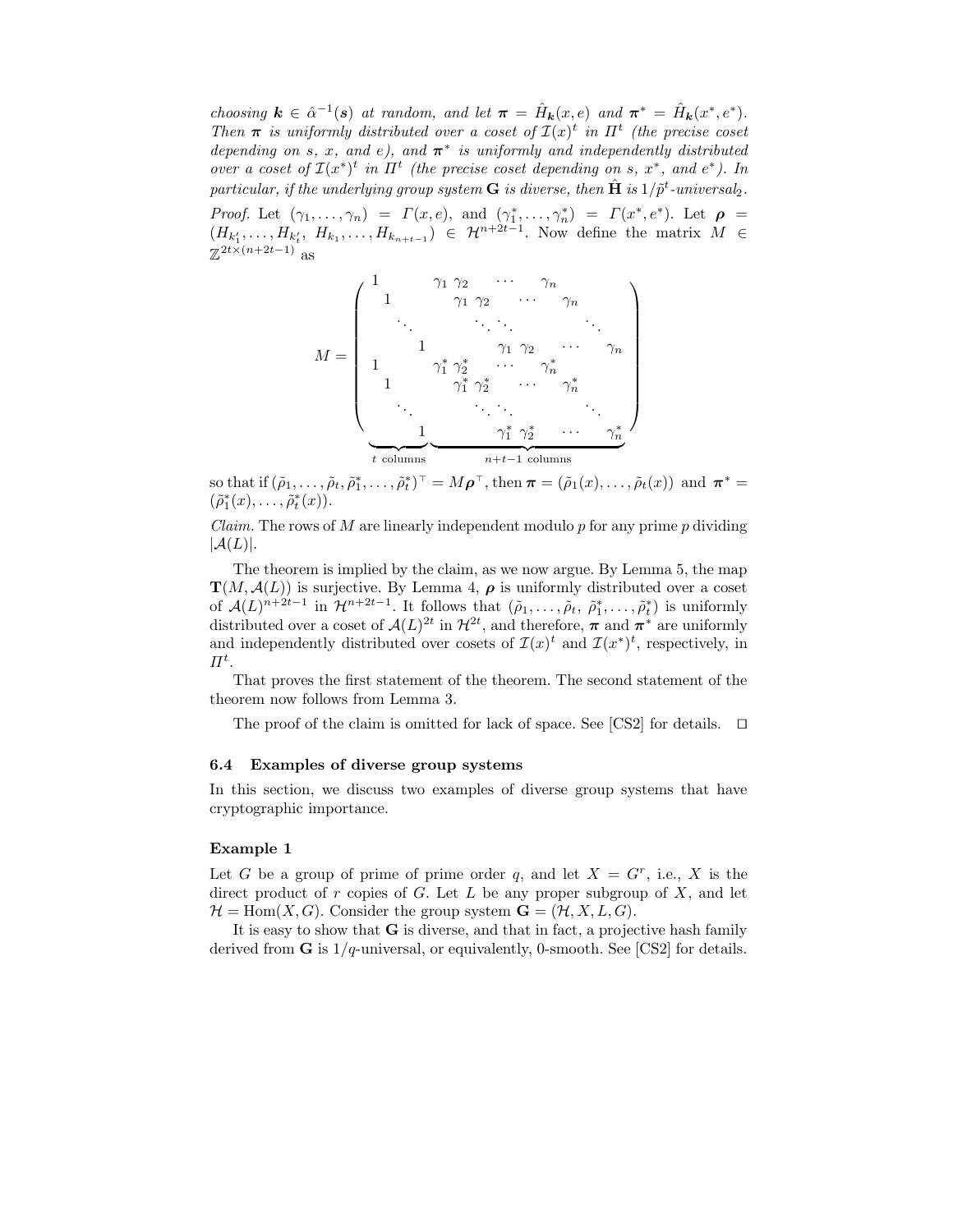choosing  $\mathbf{k} \in \hat{\alpha}^{-1}(\mathbf{s})$  at random, and let  $\pi = \hat{H}_{\mathbf{k}}(x, e)$  and  $\pi^* = \hat{H}_{\mathbf{k}}(x^*, e^*).$ Then  $\pi$  is uniformly distributed over a coset of  $\mathcal{I}(x)^t$  in  $\Pi^t$  (the precise coset depending on s, x, and e), and  $\pi^*$  is uniformly and independently distributed over a coset of  $\mathcal{I}(x^*)^t$  in  $\Pi^t$  (the precise coset depending on s,  $x^*$ , and  $e^*$ ). In particular, if the underlying group system  ${\bf G}$  is diverse, then  $\hat{{\bf H}}$  is  $1/\tilde{p}^t$ -universal $_2.$ 

*Proof.* Let  $(\gamma_1, \ldots, \gamma_n) = \Gamma(x, e)$ , and  $(\gamma_1^*, \ldots, \gamma_n^*) = \Gamma(x^*, e^*)$ . Let  $\rho =$  $(H_{k'_1},\ldots,H_{k'_t}, H_{k_1},\ldots,H_{k_{n+t-1}}) \in \mathcal{H}^{n+2t-1}$ . Now define the matrix  $M \in$  $\mathbb{Z}^{2t \times (n+2t-1)}$  as



so that if  $(\tilde{\rho}_1, \ldots, \tilde{\rho}_t, \tilde{\rho}_1^*, \ldots, \tilde{\rho}_t^*)^\top = M \rho^\top$ , then  $\pi = (\tilde{\rho}_1(x), \ldots, \tilde{\rho}_t(x))$  and  $\pi^* =$  $(\tilde{\rho}_{1}^{*}(x), \ldots, \tilde{\rho}_{t}^{*}(x)).$ 

*Claim.* The rows of M are linearly independent modulo p for any prime p dividing  $|\mathcal{A}(L)|$ .

The theorem is implied by the claim, as we now argue. By Lemma 5, the map  $\mathbf{T}(M, \mathcal{A}(L))$  is surjective. By Lemma 4,  $\rho$  is uniformly distributed over a coset of  $\mathcal{A}(L)^{n+2t-1}$  in  $\mathcal{H}^{n+2t-1}$ . It follows that  $(\tilde{\rho}_1,\ldots,\tilde{\rho}_t,\tilde{\rho}_1^*,\ldots,\tilde{\rho}_t^*)$  is uniformly distributed over a coset of  $\mathcal{A}(L)^{2t}$  in  $\mathcal{H}^{2t}$ , and therefore,  $\pi$  and  $\pi^*$  are uniformly and independently distributed over cosets of  $\mathcal{I}(x)^t$  and  $\mathcal{I}(x^*)^t$ , respectively, in  $\Pi^t.$ 

That proves the first statement of the theorem. The second statement of the theorem now follows from Lemma 3.

The proof of the claim is omitted for lack of space. See [CS2] for details.  $\Box$ 

## 6.4 Examples of diverse group systems

In this section, we discuss two examples of diverse group systems that have cryptographic importance.

#### Example 1

Let G be a group of prime of prime order q, and let  $X = G<sup>r</sup>$ , i.e., X is the direct product of r copies of G. Let L be any proper subgroup of  $X$ , and let  $\mathcal{H} = \text{Hom}(X, G)$ . Consider the group system  $\mathbf{G} = (\mathcal{H}, X, L, G)$ .

It is easy to show that G is diverse, and that in fact, a projective hash family derived from **G** is  $1/q$ -universal, or equivalently, 0-smooth. See [CS2] for details.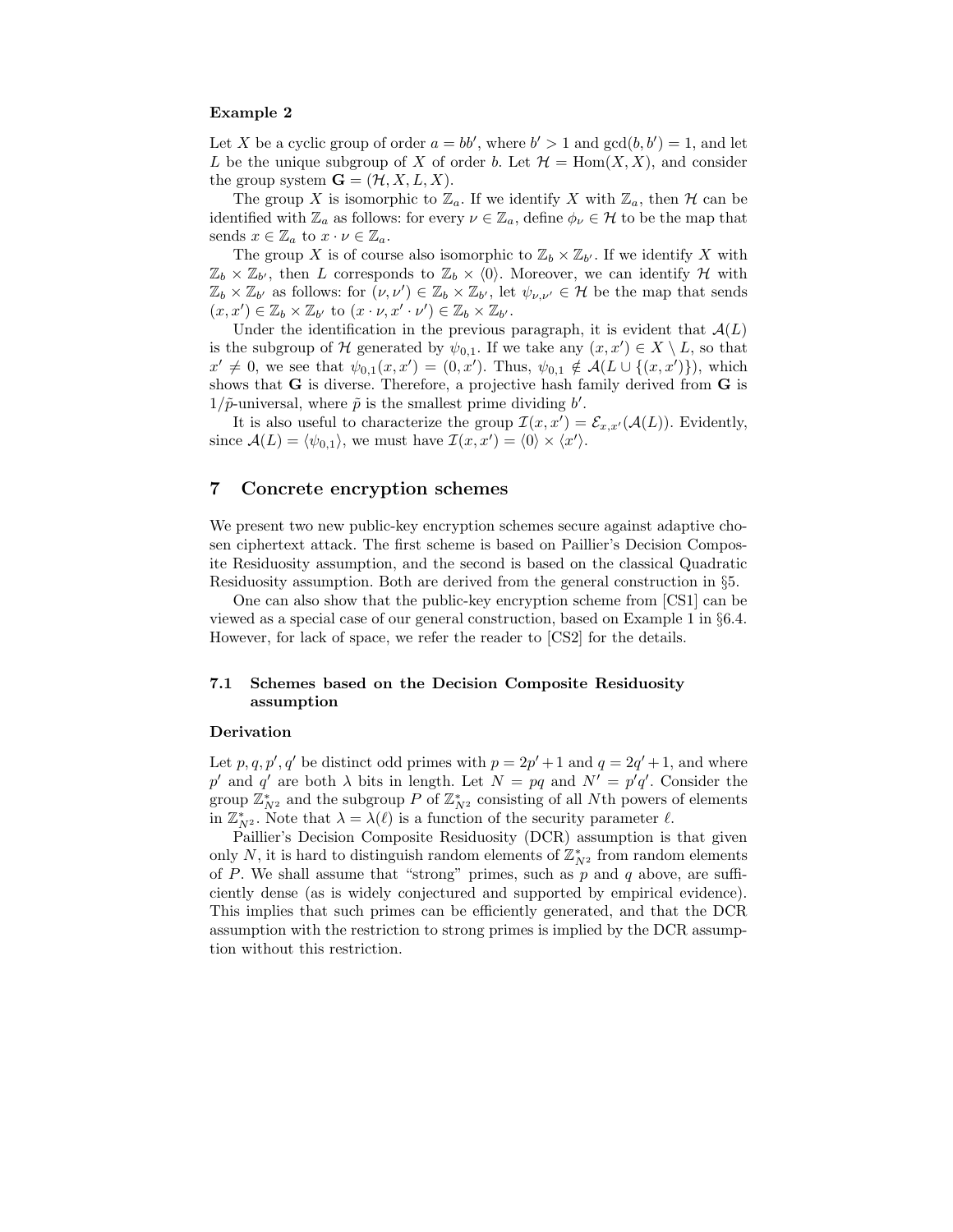## Example 2

Let X be a cyclic group of order  $a = bb'$ , where  $b' > 1$  and  $gcd(b, b') = 1$ , and let L be the unique subgroup of X of order b. Let  $\mathcal{H} = \text{Hom}(X, X)$ , and consider the group system  $\mathbf{G} = (\mathcal{H}, X, L, X)$ .

The group X is isomorphic to  $\mathbb{Z}_a$ . If we identify X with  $\mathbb{Z}_a$ , then H can be identified with  $\mathbb{Z}_a$  as follows: for every  $\nu \in \mathbb{Z}_a$ , define  $\phi_{\nu} \in \mathcal{H}$  to be the map that sends  $x \in \mathbb{Z}_a$  to  $x \cdot \nu \in \mathbb{Z}_a$ .

The group X is of course also isomorphic to  $\mathbb{Z}_b \times \mathbb{Z}_{b'}$ . If we identify X with  $\mathbb{Z}_b \times \mathbb{Z}_{b'}$ , then L corresponds to  $\mathbb{Z}_b \times \langle 0 \rangle$ . Moreover, we can identify H with  $\mathbb{Z}_b \times \mathbb{Z}_{b'}$  as follows: for  $(\nu, \nu') \in \mathbb{Z}_b \times \mathbb{Z}_{b'}$ , let  $\psi_{\nu, \nu'} \in \mathcal{H}$  be the map that sends  $(x, x') \in \mathbb{Z}_b \times \mathbb{Z}_{b'}$  to  $(x \cdot \nu, x' \cdot \nu') \in \mathbb{Z}_b \times \mathbb{Z}_{b'}$ .

Under the identification in the previous paragraph, it is evident that  $\mathcal{A}(L)$ is the subgroup of H generated by  $\psi_{0,1}$ . If we take any  $(x, x') \in X \setminus L$ , so that  $x' \neq 0$ , we see that  $\psi_{0,1}(x, x') = (0, x')$ . Thus,  $\psi_{0,1} \notin \mathcal{A}(L \cup \{(x, x')\})$ , which shows that G is diverse. Therefore, a projective hash family derived from G is  $1/\tilde{p}$ -universal, where  $\tilde{p}$  is the smallest prime dividing b'.

It is also useful to characterize the group  $\mathcal{I}(x, x') = \mathcal{E}_{x, x'}(\mathcal{A}(L))$ . Evidently, since  $\mathcal{A}(L) = \langle \psi_{0,1} \rangle$ , we must have  $\mathcal{I}(x, x') = \langle 0 \rangle \times \langle x' \rangle$ .

# 7 Concrete encryption schemes

We present two new public-key encryption schemes secure against adaptive chosen ciphertext attack. The first scheme is based on Paillier's Decision Composite Residuosity assumption, and the second is based on the classical Quadratic Residuosity assumption. Both are derived from the general construction in §5.

One can also show that the public-key encryption scheme from [CS1] can be viewed as a special case of our general construction, based on Example 1 in §6.4. However, for lack of space, we refer the reader to [CS2] for the details.

# 7.1 Schemes based on the Decision Composite Residuosity assumption

#### Derivation

Let p, q, p', q' be distinct odd primes with  $p = 2p' + 1$  and  $q = 2q' + 1$ , and where p' and q' are both  $\lambda$  bits in length. Let  $N = pq$  and  $N' = p'q'$ . Consider the group  $\mathbb{Z}_{N^2}^*$  and the subgroup P of  $\mathbb{Z}_{N^2}^*$  consisting of all Nth powers of elements in  $\mathbb{Z}_{N^2}^*$ . Note that  $\lambda = \lambda(\ell)$  is a function of the security parameter  $\ell$ .

Paillier's Decision Composite Residuosity (DCR) assumption is that given only N, it is hard to distinguish random elements of  $\mathbb{Z}_{N^2}^*$  from random elements of P. We shall assume that "strong" primes, such as  $p$  and  $q$  above, are sufficiently dense (as is widely conjectured and supported by empirical evidence). This implies that such primes can be efficiently generated, and that the DCR assumption with the restriction to strong primes is implied by the DCR assumption without this restriction.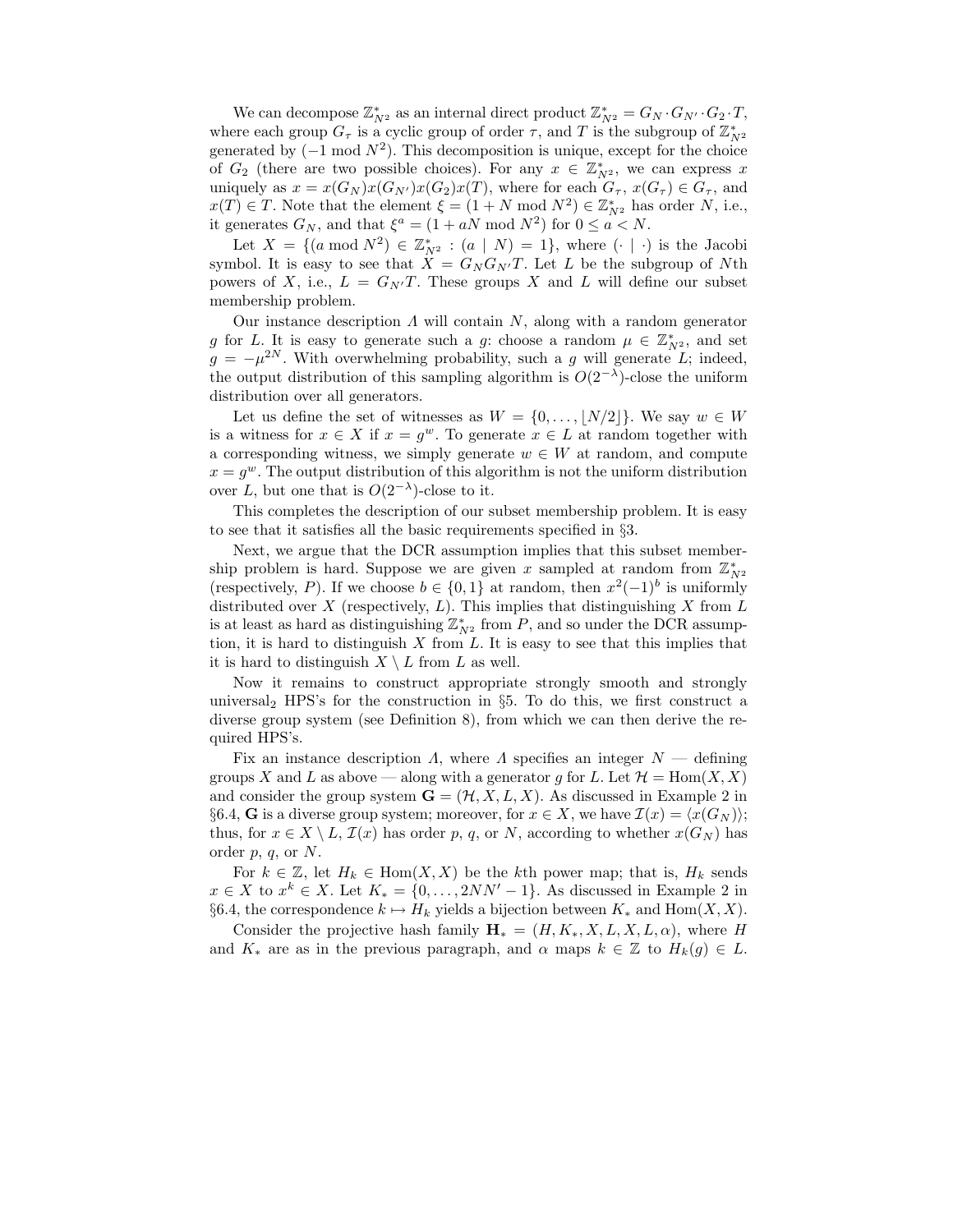We can decompose  $\mathbb{Z}_{N^2}^*$  as an internal direct product  $\mathbb{Z}_{N^2}^* = G_N \cdot G_{N'} \cdot G_2 \cdot T$ , where each group  $G_{\tau}$  is a cyclic group of order  $\tau$ , and T is the subgroup of  $\mathbb{Z}_{N^2}^*$ generated by  $(-1 \mod N^2)$ . This decomposition is unique, except for the choice of  $G_2$  (there are two possible choices). For any  $x \in \mathbb{Z}_{N^2}^*$ , we can express x uniquely as  $x = x(G_N)x(G_{N'})x(G_2)x(T)$ , where for each  $G_\tau$ ,  $x(G_\tau) \in G_\tau$ , and  $x(T) \in T$ . Note that the element  $\xi = (1 + N \mod N^2) \in \mathbb{Z}_{N^2}^*$  has order N, i.e., it generates  $G_N$ , and that  $\xi^a = (1 + aN \mod N^2)$  for  $0 \le a < N$ .

Let  $X = \{(a \mod N^2) \in \mathbb{Z}_{N^2}^* : (a \mid N) = 1\}$ , where  $(\cdot \mid \cdot)$  is the Jacobi symbol. It is easy to see that  $X = G_N G_{N'} T$ . Let L be the subgroup of Nth powers of X, i.e.,  $L = G_{N}T$ . These groups X and L will define our subset membership problem.

Our instance description  $\Lambda$  will contain  $N$ , along with a random generator g for L. It is easy to generate such a g: choose a random  $\mu \in \mathbb{Z}_{N^2}^*$ , and set  $g = -\mu^{2N}$ . With overwhelming probability, such a g will generate L; indeed, the output distribution of this sampling algorithm is  $O(2^{-\lambda})$ -close the uniform distribution over all generators.

Let us define the set of witnesses as  $W = \{0, \ldots, |N/2|\}$ . We say  $w \in W$ is a witness for  $x \in X$  if  $x = g^w$ . To generate  $x \in L$  at random together with a corresponding witness, we simply generate  $w \in W$  at random, and compute  $x = g<sup>w</sup>$ . The output distribution of this algorithm is not the uniform distribution over L, but one that is  $O(2^{-\lambda})$ -close to it.

This completes the description of our subset membership problem. It is easy to see that it satisfies all the basic requirements specified in §3.

Next, we argue that the DCR assumption implies that this subset membership problem is hard. Suppose we are given x sampled at random from  $\mathbb{Z}_{N^2}^*$ (respectively, P). If we choose  $b \in \{0,1\}$  at random, then  $x^2(-1)^b$  is uniformly distributed over  $X$  (respectively,  $L$ ). This implies that distinguishing  $X$  from  $L$ is at least as hard as distinguishing  $\mathbb{Z}_{N^2}^*$  from P, and so under the DCR assumption, it is hard to distinguish X from  $L$ . It is easy to see that this implies that it is hard to distinguish  $X \setminus L$  from L as well.

Now it remains to construct appropriate strongly smooth and strongly universal<sub>2</sub> HPS's for the construction in  $\S5$ . To do this, we first construct a diverse group system (see Definition 8), from which we can then derive the required HPS's.

Fix an instance description A, where A specifies an integer  $N$  — defining groups X and L as above — along with a generator g for L. Let  $\mathcal{H} = \text{Hom}(X, X)$ and consider the group system  $\mathbf{G} = (\mathcal{H}, X, L, X)$ . As discussed in Example 2 in §6.4, **G** is a diverse group system; moreover, for  $x \in X$ , we have  $\mathcal{I}(x) = \langle x(G_N) \rangle$ ; thus, for  $x \in X \setminus L$ ,  $\mathcal{I}(x)$  has order p, q, or N, according to whether  $x(G_N)$  has order  $p, q$ , or  $N$ .

For  $k \in \mathbb{Z}$ , let  $H_k \in \text{Hom}(X, X)$  be the kth power map; that is,  $H_k$  sends  $x \in X$  to  $x^k \in X$ . Let  $K_* = \{0, \ldots, 2NN' - 1\}$ . As discussed in Example 2 in §6.4, the correspondence  $k \mapsto H_k$  yields a bijection between  $K_*$  and  $\text{Hom}(X, X)$ .

Consider the projective hash family  $\mathbf{H}_{*} = (H, K_*, X, L, X, L, \alpha)$ , where H and  $K_*$  are as in the previous paragraph, and  $\alpha$  maps  $k \in \mathbb{Z}$  to  $H_k(g) \in L$ .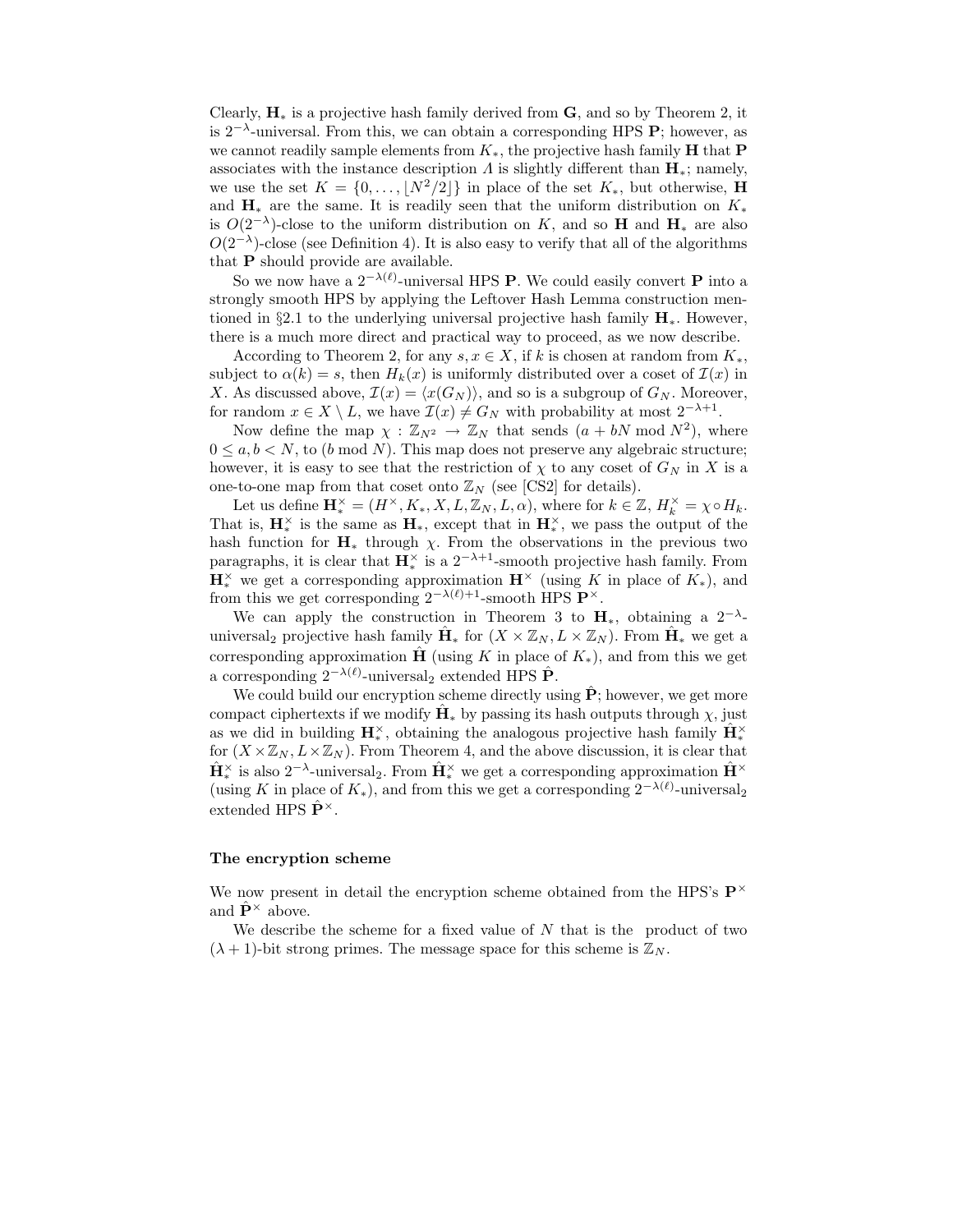Clearly,  $\mathbf{H}_{*}$  is a projective hash family derived from  $\mathbf{G}$ , and so by Theorem 2, it is  $2^{-\lambda}$ -universal. From this, we can obtain a corresponding HPS **P**; however, as we cannot readily sample elements from  $K_*$ , the projective hash family H that P associates with the instance description  $\Lambda$  is slightly different than  $\mathbf{H}_{*}$ ; namely, we use the set  $K = \{0, \ldots, \lfloor N^2/2 \rfloor\}$  in place of the set  $K_*$ , but otherwise, **H** and  $\mathbf{H}_{*}$  are the same. It is readily seen that the uniform distribution on  $K_{*}$ is  $O(2^{-\lambda})$ -close to the uniform distribution on K, and so H and H<sub>\*</sub> are also  $O(2^{-\lambda})$ -close (see Definition 4). It is also easy to verify that all of the algorithms that P should provide are available.

So we now have a  $2^{-\lambda(\ell)}$ -universal HPS P. We could easily convert P into a strongly smooth HPS by applying the Leftover Hash Lemma construction mentioned in §2.1 to the underlying universal projective hash family  $\mathbf{H}_{*}$ . However, there is a much more direct and practical way to proceed, as we now describe.

According to Theorem 2, for any  $s, x \in X$ , if k is chosen at random from  $K_*,$ subject to  $\alpha(k) = s$ , then  $H_k(x)$  is uniformly distributed over a coset of  $\mathcal{I}(x)$  in X. As discussed above,  $\mathcal{I}(x) = \langle x(G_N) \rangle$ , and so is a subgroup of  $G_N$ . Moreover, for random  $x \in X \setminus L$ , we have  $\mathcal{I}(x) \neq G_N$  with probability at most  $2^{-\lambda+1}$ .

Now define the map  $\chi : \mathbb{Z}_{N^2} \to \mathbb{Z}_N$  that sends  $(a + bN \mod N^2)$ , where  $0 \leq a, b \leq N$ , to  $(b \mod N)$ . This map does not preserve any algebraic structure; however, it is easy to see that the restriction of  $\chi$  to any coset of  $G_N$  in X is a one-to-one map from that coset onto  $\mathbb{Z}_N$  (see [CS2] for details).

Let us define  $\mathbf{H}_{*}^{\times} = (H^{\times}, K_*, X, L, \mathbb{Z}_N, L, \alpha)$ , where for  $k \in \mathbb{Z}, H_k^{\times} = \chi \circ H_k$ . That is,  $\mathbf{H}_{*}^{\times}$  is the same as  $\mathbf{H}_{*}$ , except that in  $\mathbf{H}_{*}^{\times}$ , we pass the output of the hash function for  $H_*$  through  $\chi$ . From the observations in the previous two paragraphs, it is clear that  $\mathbf{H}_{*}^{\times}$  is a  $2^{-\lambda+1}$ -smooth projective hash family. From  $\mathbf{H}_{*}^{\times}$  we get a corresponding approximation  $\mathbf{H}^{\times}$  (using K in place of  $K_{*}$ ), and from this we get corresponding  $2^{-\lambda(\ell)+1}$ -smooth HPS  $\mathbf{P}^{\times}$ .

We can apply the construction in Theorem 3 to  $H_*$ , obtaining a 2<sup>- $\lambda$ </sup>universal<sub>2</sub> projective hash family  $\hat{H}_{*}$  for  $(X \times \mathbb{Z}_N, L \times \mathbb{Z}_N)$ . From  $\hat{H}_{*}$  we get a corresponding approximation  $\mathbf{H}$  (using K in place of  $K_*$ ), and from this we get a corresponding  $2^{-\lambda(\ell)}$ -universal<sub>2</sub> extended HPS  $\hat{P}$ .

We could build our encryption scheme directly using  $\hat{P}$ ; however, we get more compact ciphertexts if we modify  $\hat{H}_{*}$  by passing its hash outputs through  $\chi$ , just as we did in building  $\mathbf{H}_{*}^{\times}$ , obtaining the analogous projective hash family  $\hat{\mathbf{H}}_{*}^{\times}$ for  $(X \times \mathbb{Z}_N, L \times \mathbb{Z}_N)$ . From Theorem 4, and the above discussion, it is clear that  $\hat{H}^{\times}_*$  is also 2<sup>- $\lambda$ </sup>-universal<sub>2</sub>. From  $\hat{H}^{\times}_*$  we get a corresponding approximation  $\hat{H}^{\times}$ (using K in place of  $K_*$ ), and from this we get a corresponding  $2^{-\lambda(\ell)}$ -universal<sub>2</sub> extended HPS  $\hat{\mathbf{P}}^{\times}$ .

# The encryption scheme

We now present in detail the encryption scheme obtained from the HPS's  $\mathbf{P}^{\times}$ and  $\mathbf{P}^{\times}$  above.

We describe the scheme for a fixed value of  $N$  that is the product of two  $(\lambda + 1)$ -bit strong primes. The message space for this scheme is  $\mathbb{Z}_N$ .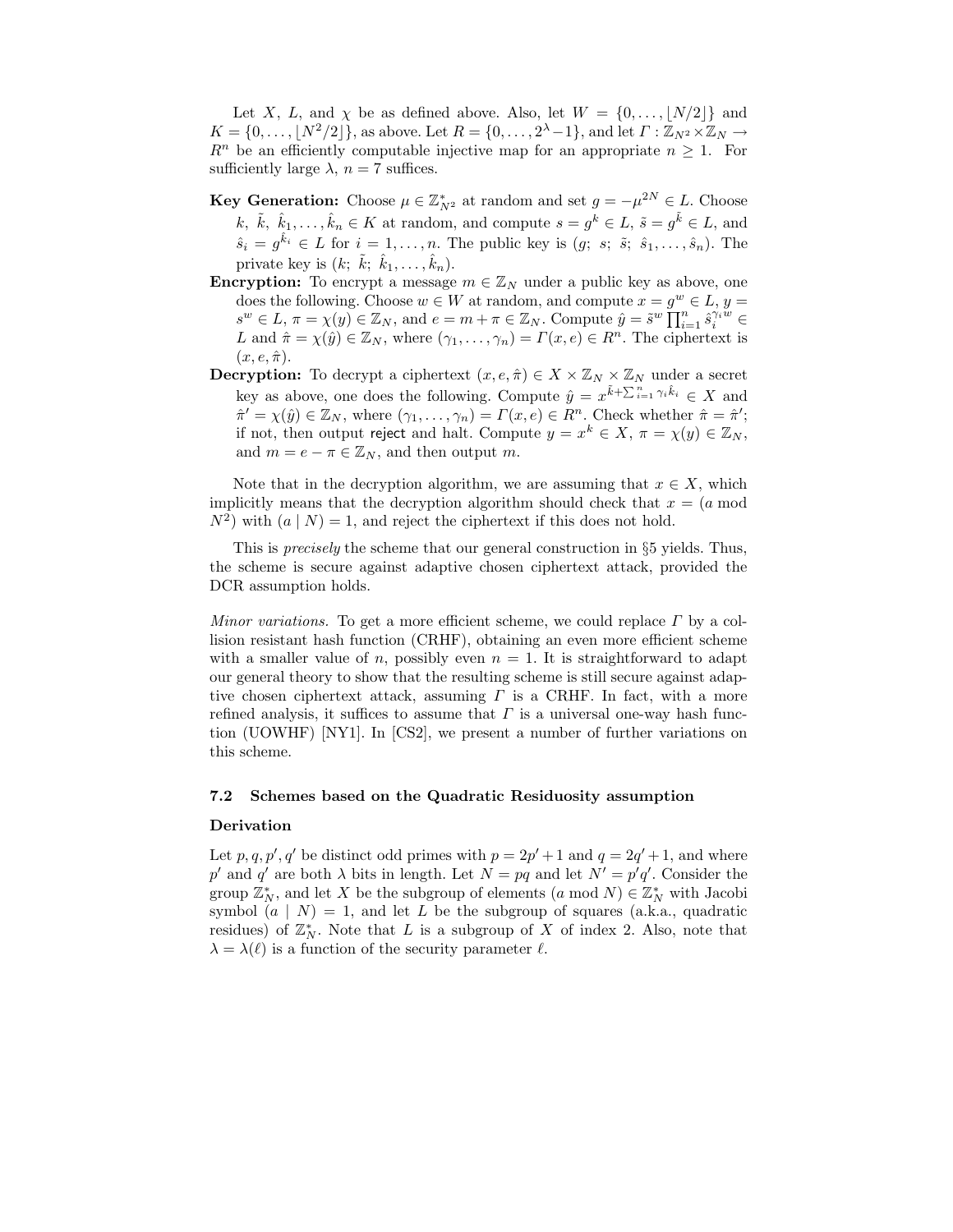Let X, L, and  $\chi$  be as defined above. Also, let  $W = \{0, \ldots, |N/2|\}$  and  $K = \{0, \ldots, \lfloor N^2/2 \rfloor\},\$ as above. Let  $R = \{0, \ldots, 2^{\lambda}-1\},\$ and let  $\Gamma : \mathbb{Z}_{N^2} \times \mathbb{Z}_N \to \mathbb{Z}_{N^2}$  $R<sup>n</sup>$  be an efficiently computable injective map for an appropriate  $n \geq 1$ . For sufficiently large  $\lambda$ ,  $n = 7$  suffices.

- **Key Generation:** Choose  $\mu \in \mathbb{Z}_{N^2}^*$  at random and set  $g = -\mu^{2N} \in L$ . Choose  $k, \ \tilde{k}, \ \hat{k}_1, \ldots, \hat{k}_n \in K$  at random, and compute  $s = g^k \in L$ ,  $\tilde{s} = g^{\tilde{k}} \in L$ , and  $\hat{s}_i = g^{\hat{k}_i} \in L$  for  $i = 1, \ldots, n$ . The public key is  $(g; s; \tilde{s}_1, \ldots, \tilde{s}_n)$ . The private key is  $(k; \tilde{k}; \hat{k}_1, \ldots, \hat{k}_n)$ .
- **Encryption:** To encrypt a message  $m \in \mathbb{Z}_N$  under a public key as above, one does the following. Choose  $w \in W$  at random, and compute  $x = g^w \in L$ ,  $y =$  $s^w \in L$ ,  $\pi = \chi(y) \in \mathbb{Z}_N$ , and  $e = m + \pi \in \mathbb{Z}_N$ . Compute  $\hat{y} = \tilde{s}^w \prod_{i=1}^n \hat{s}_i^{\gamma_i w} \in$ L and  $\hat{\pi} = \chi(\hat{y}) \in \mathbb{Z}_N$ , where  $(\gamma_1, \ldots, \gamma_n) = \Gamma(x, e) \in R^n$ . The ciphertext is  $(x, e, \hat{\pi}).$
- **Decryption:** To decrypt a ciphertext  $(x, e, \hat{\pi}) \in X \times \mathbb{Z}_N \times \mathbb{Z}_N$  under a secret key as above, one does the following. Compute  $\hat{y} = x^{\tilde{k} + \sum_{i=1}^{n} \gamma_i \hat{k}_i} \in X$  and  $\hat{\pi}' = \chi(\hat{y}) \in \mathbb{Z}_N$ , where  $(\gamma_1, \ldots, \gamma_n) = \Gamma(x, e) \in R^n$ . Check whether  $\hat{\pi} = \hat{\pi}'$ ; if not, then output reject and halt. Compute  $y = x^k \in X$ ,  $\pi = \chi(y) \in \mathbb{Z}_N$ , and  $m = e - \pi \in \mathbb{Z}_N$ , and then output m.

Note that in the decryption algorithm, we are assuming that  $x \in X$ , which implicitly means that the decryption algorithm should check that  $x = (a \mod a)$  $N^2$ ) with  $(a | N) = 1$ , and reject the ciphertext if this does not hold.

This is precisely the scheme that our general construction in §5 yields. Thus, the scheme is secure against adaptive chosen ciphertext attack, provided the DCR assumption holds.

Minor variations. To get a more efficient scheme, we could replace  $\Gamma$  by a collision resistant hash function (CRHF), obtaining an even more efficient scheme with a smaller value of n, possibly even  $n = 1$ . It is straightforward to adapt our general theory to show that the resulting scheme is still secure against adaptive chosen ciphertext attack, assuming  $\Gamma$  is a CRHF. In fact, with a more refined analysis, it suffices to assume that  $\Gamma$  is a universal one-way hash function (UOWHF) [NY1]. In [CS2], we present a number of further variations on this scheme.

## 7.2 Schemes based on the Quadratic Residuosity assumption

#### Derivation

Let p, q, p', q' be distinct odd primes with  $p = 2p' + 1$  and  $q = 2q' + 1$ , and where p' and q' are both  $\lambda$  bits in length. Let  $N = pq$  and let  $N' = p'q'$ . Consider the group  $\mathbb{Z}_N^*$ , and let X be the subgroup of elements  $(a \bmod N) \in \mathbb{Z}_N^*$  with Jacobi symbol  $(a \mid N) = 1$ , and let L be the subgroup of squares (a.k.a., quadratic residues) of  $\mathbb{Z}_N^*$ . Note that L is a subgroup of X of index 2. Also, note that  $\lambda = \lambda(\ell)$  is a function of the security parameter  $\ell$ .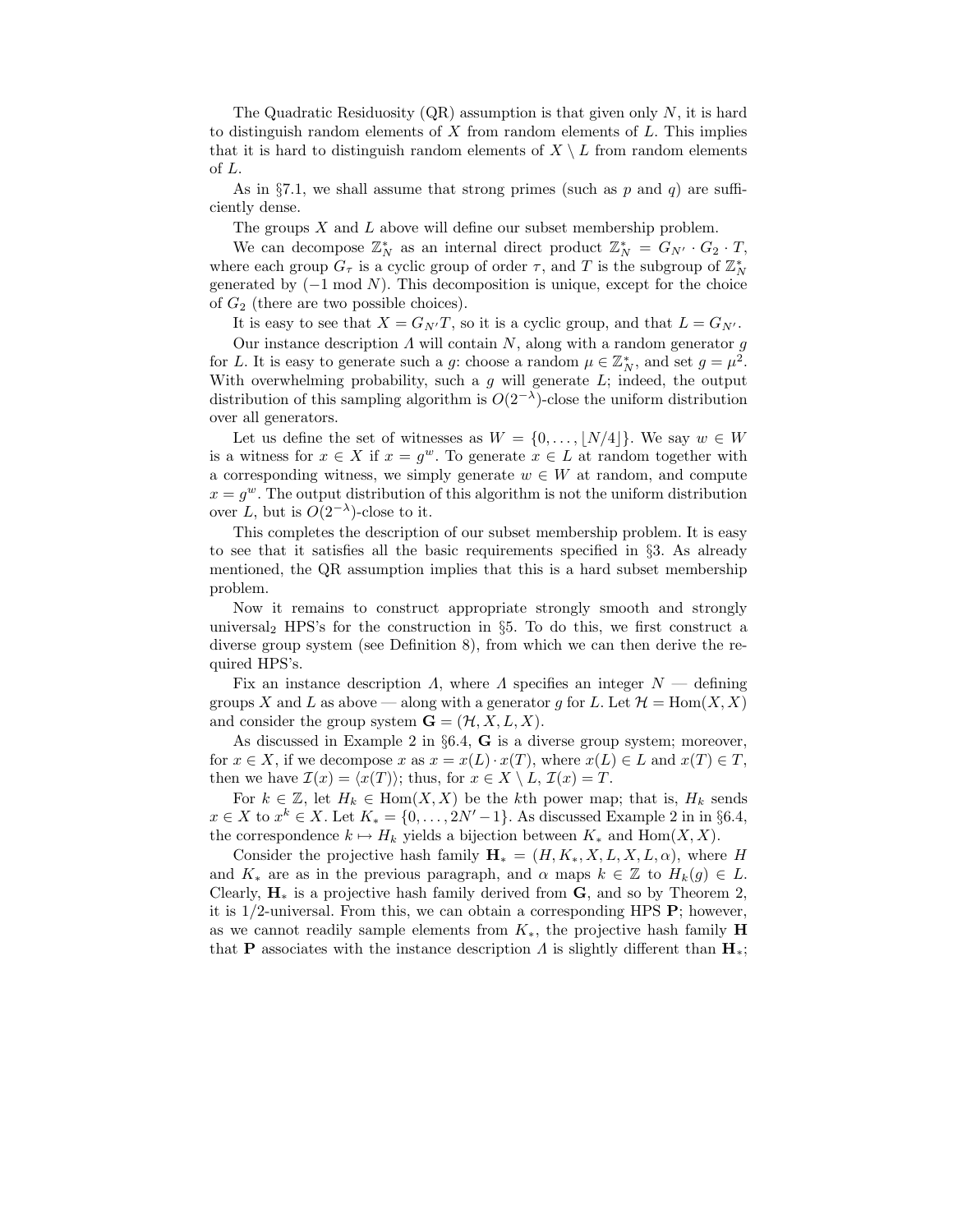The Quadratic Residuosity  $(QR)$  assumption is that given only N, it is hard to distinguish random elements of  $X$  from random elements of  $L$ . This implies that it is hard to distinguish random elements of  $X \setminus L$  from random elements of L.

As in  $\S 7.1$ , we shall assume that strong primes (such as p and q) are sufficiently dense.

The groups X and L above will define our subset membership problem.

We can decompose  $\mathbb{Z}_N^*$  as an internal direct product  $\mathbb{Z}_N^* = G_{N'} \cdot G_2 \cdot T$ , where each group  $G_{\tau}$  is a cyclic group of order  $\tau$ , and  $T$  is the subgroup of  $\mathbb{Z}_N^*$ generated by  $(-1 \mod N)$ . This decomposition is unique, except for the choice of  $G_2$  (there are two possible choices).

It is easy to see that  $X = G_{N'}T$ , so it is a cyclic group, and that  $L = G_{N'}$ .

Our instance description  $\Lambda$  will contain  $N$ , along with a random generator  $g$ for L. It is easy to generate such a g: choose a random  $\mu \in \mathbb{Z}_N^*$ , and set  $g = \mu^2$ . With overwhelming probability, such a  $q$  will generate  $L$ ; indeed, the output distribution of this sampling algorithm is  $O(2^{-\lambda})$ -close the uniform distribution over all generators.

Let us define the set of witnesses as  $W = \{0, \ldots, |N/4|\}$ . We say  $w \in W$ is a witness for  $x \in X$  if  $x = g^w$ . To generate  $x \in L$  at random together with a corresponding witness, we simply generate  $w \in W$  at random, and compute  $x = g<sup>w</sup>$ . The output distribution of this algorithm is not the uniform distribution over L, but is  $O(2^{-\lambda})$ -close to it.

This completes the description of our subset membership problem. It is easy to see that it satisfies all the basic requirements specified in  $\S$ 3. As already mentioned, the QR assumption implies that this is a hard subset membership problem.

Now it remains to construct appropriate strongly smooth and strongly universal<sub>2</sub> HPS's for the construction in  $\S5$ . To do this, we first construct a diverse group system (see Definition 8), from which we can then derive the required HPS's.

Fix an instance description  $\Lambda$ , where  $\Lambda$  specifies an integer  $N$  — defining groups X and L as above — along with a generator g for L. Let  $\mathcal{H} = \text{Hom}(X, X)$ and consider the group system  $\mathbf{G} = (\mathcal{H}, X, L, X)$ .

As discussed in Example 2 in §6.4, G is a diverse group system; moreover, for  $x \in X$ , if we decompose x as  $x = x(L) \cdot x(T)$ , where  $x(L) \in L$  and  $x(T) \in T$ , then we have  $\mathcal{I}(x) = \langle x(T) \rangle$ ; thus, for  $x \in X \setminus L$ ,  $\mathcal{I}(x) = T$ .

For  $k \in \mathbb{Z}$ , let  $H_k \in \text{Hom}(X, X)$  be the kth power map; that is,  $H_k$  sends  $x \in X$  to  $x^k \in X$ . Let  $K_* = \{0, \ldots, 2N' - 1\}$ . As discussed Example 2 in in §6.4, the correspondence  $k \mapsto H_k$  yields a bijection between  $K_*$  and  $\text{Hom}(X, X)$ .

Consider the projective hash family  $\mathbf{H}_{*} = (H, K_*, X, L, X, L, \alpha)$ , where H and  $K_*$  are as in the previous paragraph, and  $\alpha$  maps  $k \in \mathbb{Z}$  to  $H_k(g) \in L$ . Clearly,  $H_*$  is a projective hash family derived from  $G$ , and so by Theorem 2, it is  $1/2$ -universal. From this, we can obtain a corresponding HPS  $\bf{P}$ ; however, as we cannot readily sample elements from  $K_{*}$ , the projective hash family **H** that **P** associates with the instance description  $\Lambda$  is slightly different than  $\mathbf{H}_{*}$ ;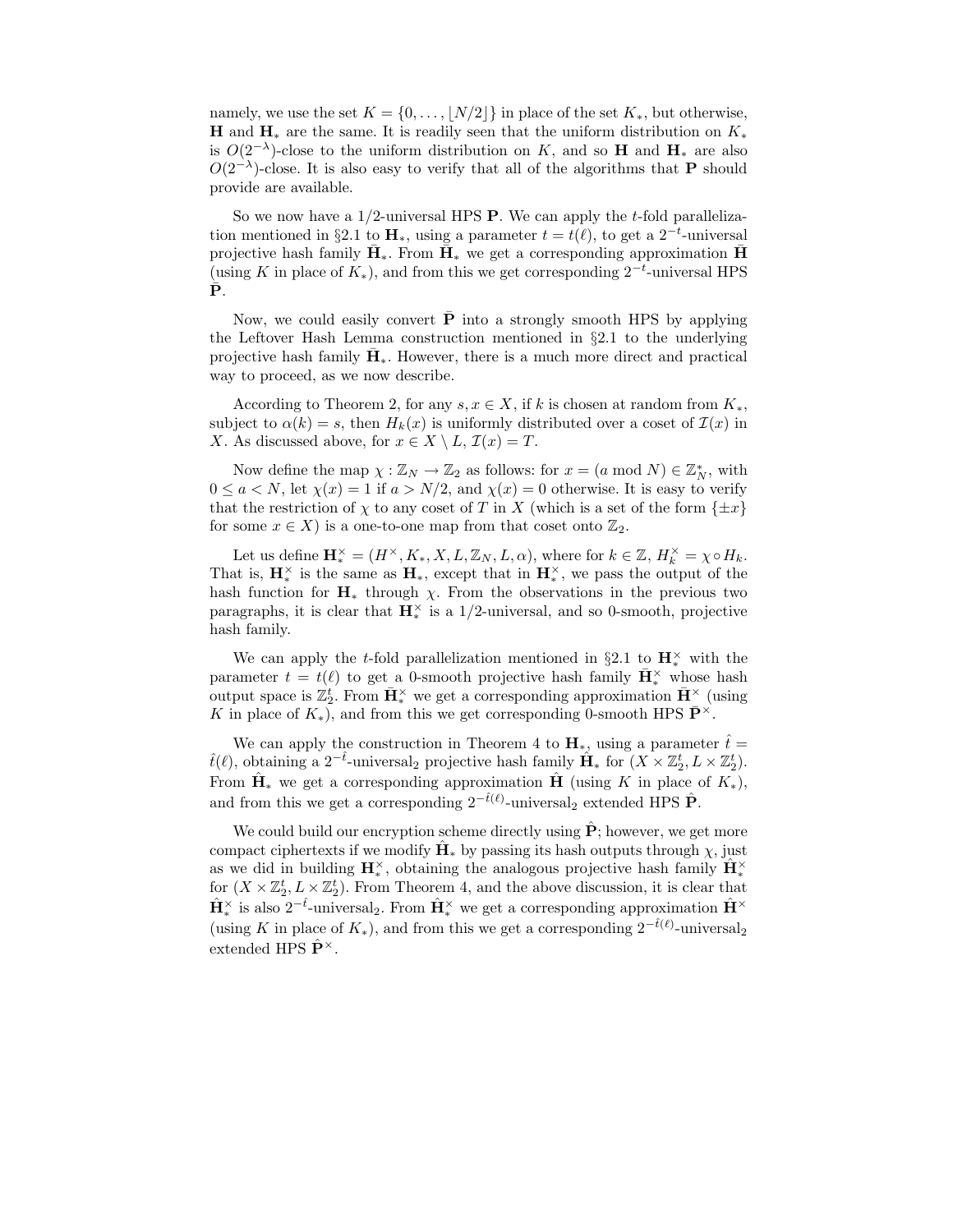namely, we use the set  $K = \{0, \ldots, |N/2|\}$  in place of the set  $K_*,$  but otherwise, H and  $\mathbf{H}_*$  are the same. It is readily seen that the uniform distribution on  $K_*$ is  $O(2^{-\lambda})$ -close to the uniform distribution on K, and so H and H<sub>\*</sub> are also  $O(2^{-\lambda})$ -close. It is also easy to verify that all of the algorithms that **P** should provide are available.

So we now have a  $1/2$ -universal HPS **P**. We can apply the t-fold parallelization mentioned in §2.1 to  $\mathbf{H}_{*}$ , using a parameter  $t = t(\ell)$ , to get a 2<sup>-t</sup>-universal projective hash family  $\bar{H}_*$ . From  $\bar{H}_*$  we get a corresponding approximation  $\bar{H}$ (using K in place of  $K_{*}$ ), and from this we get corresponding  $2^{-t}$ -universal HPS  $P_{\cdot}$ 

Now, we could easily convert  $\overline{P}$  into a strongly smooth HPS by applying the Leftover Hash Lemma construction mentioned in §2.1 to the underlying projective hash family  $\bar{H}_*$ . However, there is a much more direct and practical way to proceed, as we now describe.

According to Theorem 2, for any  $s, x \in X$ , if k is chosen at random from  $K_*,$ subject to  $\alpha(k) = s$ , then  $H_k(x)$  is uniformly distributed over a coset of  $\mathcal{I}(x)$  in X. As discussed above, for  $x \in X \setminus L$ ,  $\mathcal{I}(x) = T$ .

Now define the map  $\chi : \mathbb{Z}_N \to \mathbb{Z}_2$  as follows: for  $x = (a \mod N) \in \mathbb{Z}_N^*$ , with  $0 \le a \le N$ , let  $\chi(x) = 1$  if  $a > N/2$ , and  $\chi(x) = 0$  otherwise. It is easy to verify that the restriction of  $\chi$  to any coset of T in X (which is a set of the form  $\{\pm x\}$ for some  $x \in X$ ) is a one-to-one map from that coset onto  $\mathbb{Z}_2$ .

Let us define  $\mathbf{H}_{*}^{\times} = (H^{\times}, K_*, X, L, \mathbb{Z}_N, L, \alpha)$ , where for  $k \in \mathbb{Z}, H_k^{\times} = \chi \circ H_k$ . That is,  $\mathbf{H}_{*}^{\times}$  is the same as  $\mathbf{H}_{*}$ , except that in  $\mathbf{H}_{*}^{\times}$ , we pass the output of the hash function for  $H_*$  through  $\chi$ . From the observations in the previous two paragraphs, it is clear that  $\mathbf{H}_{*}^{\times}$  is a 1/2-universal, and so 0-smooth, projective hash family.

We can apply the t-fold parallelization mentioned in  $\S 2.1$  to  $\mathbf{H}_{*}^{\times}$  with the parameter  $t = t(\ell)$  to get a 0-smooth projective hash family  $\bar{\mathbf{H}}_{*}^{\times}$  whose hash output space is  $\mathbb{Z}_2^t$ . From  $\bar{H}^\times_*$  we get a corresponding approximation  $\bar{H}^\times_-$  (using K in place of  $K_*$ ), and from this we get corresponding 0-smooth HPS  $\mathbf{P}^{\times}$ .

We can apply the construction in Theorem 4 to  $\mathbf{H}_{*}$ , using a parameter  $\hat{t} =$  $\hat{t}(\ell)$ , obtaining a  $2^{-\hat{t}}$ -universal<sub>2</sub> projective hash family  $\hat{H}_*$  for  $(X \times \mathbb{Z}_2^t, L \times \mathbb{Z}_2^t)$ . From  $\hat{\mathbf{H}}_{*}$  we get a corresponding approximation  $\hat{\mathbf{H}}$  (using K in place of  $K_{*}$ ), and from this we get a corresponding  $2^{-\hat{t}(\ell)}$ -universal<sub>2</sub> extended HPS  $\hat{P}$ .

We could build our encryption scheme directly using  $\hat{P}$ ; however, we get more compact ciphertexts if we modify  $\hat{H}_{*}$  by passing its hash outputs through  $\chi$ , just as we did in building  $\mathbf{H}_{*}^{\times}$ , obtaining the analogous projective hash family  $\hat{\mathbf{H}}_{*}^{\times}$ for  $(X \times \mathbb{Z}_2^t, L \times \mathbb{Z}_2^t)$ . From Theorem 4, and the above discussion, it is clear that  $\hat{H}^{\times}_*$  is also  $2^{-\hat{t}}$ -universal<sub>2</sub>. From  $\hat{H}^{\times}_*$  we get a corresponding approximation  $\hat{H}^{\times}$ (using K in place of  $K_*$ ), and from this we get a corresponding  $2^{-\hat{t}(\ell)}$ -universal<sub>2</sub> extended HPS  $\hat{P}^{\times}$ .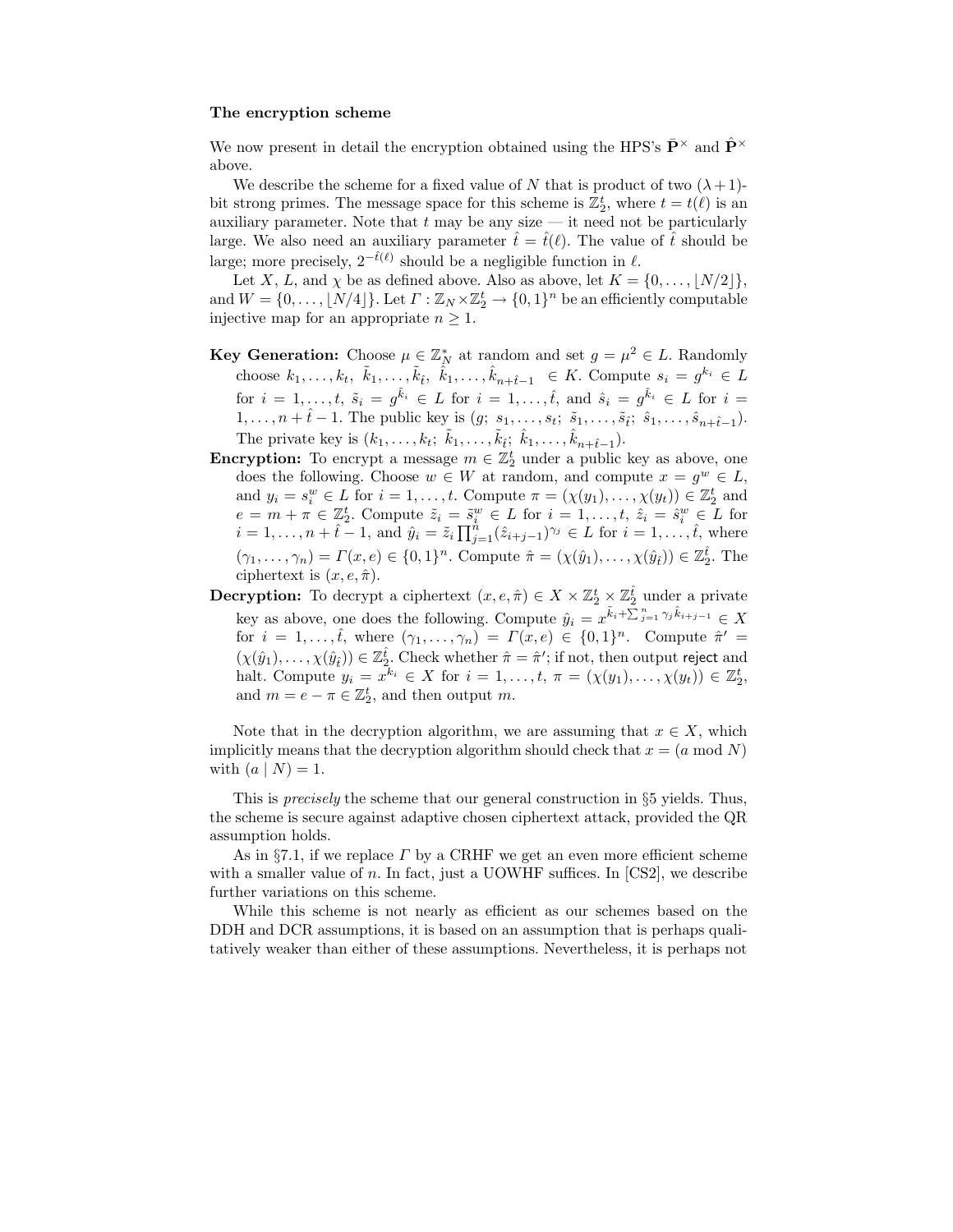## The encryption scheme

We now present in detail the encryption obtained using the HPS's  $\bar{\mathbf{P}}^{\times}$  and  $\hat{\mathbf{P}}^{\times}$ above.

We describe the scheme for a fixed value of N that is product of two  $(\lambda + 1)$ bit strong primes. The message space for this scheme is  $\mathbb{Z}_2^t$ , where  $t = t(\ell)$  is an auxiliary parameter. Note that  $t$  may be any size  $-$  it need not be particularly large. We also need an auxiliary parameter  $\hat{t} = \hat{t}(\ell)$ . The value of  $\hat{t}$  should be large; more precisely,  $2^{-\hat{t}(\ell)}$  should be a negligible function in  $\ell$ .

Let X, L, and  $\chi$  be as defined above. Also as above, let  $K = \{0, \ldots, |N/2|\},\$ and  $W = \{0, \ldots, \lfloor N/4 \rfloor\}$ . Let  $\Gamma : \mathbb{Z}_N \times \mathbb{Z}_2^t \to \{0, 1\}^n$  be an efficiently computable injective map for an appropriate  $n \geq 1$ .

- **Key Generation:** Choose  $\mu \in \mathbb{Z}_N^*$  at random and set  $g = \mu^2 \in L$ . Randomly choose  $k_1, \ldots, k_t$ ,  $\tilde{k}_1, \ldots, \tilde{k}_t$ ,  $\hat{k}_1, \ldots, \hat{k}_{n+\hat{t}-1} \in K$ . Compute  $s_i = g^{k_i} \in L$ for  $i = 1, \ldots, t$ ,  $\tilde{s}_i = g^{\tilde{k}_i} \in L$  for  $i = 1, \ldots, \hat{t}$ , and  $\hat{s}_i = g^{\hat{k}_i} \in L$  for  $i =$ 1,...,  $n + \hat{t} - 1$ . The public key is  $(g; s_1, \ldots, s_t; \tilde{s}_1, \ldots, \tilde{s}_t; \hat{s}_1, \ldots, \hat{s}_{n+\hat{t}-1})$ . The private key is  $(k_1, ..., k_t; \, \tilde{k}_1, ..., \tilde{k}_t; \, \hat{k}_1, ..., \hat{k}_{n+\hat{t}-1}).$
- **Encryption:** To encrypt a message  $m \in \mathbb{Z}_2^t$  under a public key as above, one does the following. Choose  $w \in W$  at random, and compute  $x = g^w \in L$ , and  $y_i = s_i^w \in L$  for  $i = 1, ..., t$ . Compute  $\pi = (\chi(y_1), ..., \chi(y_t)) \in \mathbb{Z}_2^t$  and  $e = m + \pi \in \mathbb{Z}_2^t$ . Compute  $\tilde{z}_i = \tilde{s}_i^w \in L$  for  $i = 1, \ldots, t$ ,  $\hat{z}_i = \hat{s}_i^w \in L$  for  $i = 1, \ldots, n + \hat{t-1}$ , and  $\hat{y}_i = \tilde{z}_i \prod_{j=1}^{\tilde{n}} (\hat{z}_{i+j-1})^{\gamma_j} \in L$  for  $i = 1, \ldots, \hat{t}$ , where  $(\gamma_1,\ldots,\gamma_n)=\Gamma(x,e)\in\{0,1\}^n$ . Compute  $\hat{\pi}=(\chi(\hat{y}_1),\ldots,\chi(\hat{y}_{\hat{t}}))\in\mathbb{Z}_2^{\hat{t}}$ . The ciphertext is  $(x, e, \hat{\pi})$ .
- **Decryption:** To decrypt a ciphertext  $(x, e, \hat{\pi}) \in X \times \mathbb{Z}_2^t \times \mathbb{Z}_2^{\hat{t}}$  under a private key as above, one does the following. Compute  $\hat{y}_i = x^{\tilde{k}_i + \sum_{j=1}^n \gamma_j \hat{k}_{i+j-1}} \in X$ for  $i = 1, \ldots, \hat{t}$ , where  $(\gamma_1, \ldots, \gamma_n) = \Gamma(x, e) \in \{0, 1\}^n$ . Compute  $\hat{\pi}' =$  $(\chi(\hat{y}_1), \ldots, \chi(\hat{y}_t)) \in \mathbb{Z}_2^{\hat{t}}$ . Check whether  $\hat{\pi} = \hat{\pi}'$ ; if not, then output reject and halt. Compute  $y_i = x^{k_i} \in X$  for  $i = 1, \ldots, t, \pi = (\chi(y_1), \ldots, \chi(y_t)) \in \mathbb{Z}_2^t$ , and  $m = e - \pi \in \mathbb{Z}_2^t$ , and then output m.

Note that in the decryption algorithm, we are assuming that  $x \in X$ , which implicitly means that the decryption algorithm should check that  $x = (a \mod N)$ with  $(a | N) = 1$ .

This is *precisely* the scheme that our general construction in  $\S5$  yields. Thus, the scheme is secure against adaptive chosen ciphertext attack, provided the QR assumption holds.

As in §7.1, if we replace  $\Gamma$  by a CRHF we get an even more efficient scheme with a smaller value of n. In fact, just a UOWHF suffices. In  $[CS2]$ , we describe further variations on this scheme.

While this scheme is not nearly as efficient as our schemes based on the DDH and DCR assumptions, it is based on an assumption that is perhaps qualitatively weaker than either of these assumptions. Nevertheless, it is perhaps not